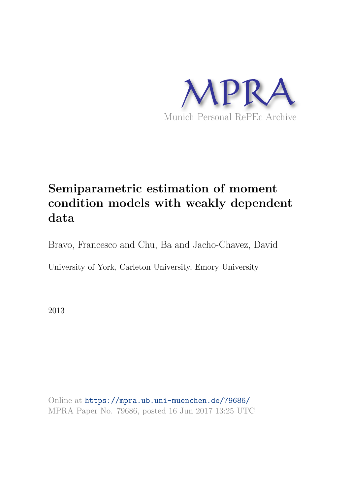

# **Semiparametric estimation of moment condition models with weakly dependent data**

Bravo, Francesco and Chu, Ba and Jacho-Chavez, David

University of York, Carleton University, Emory University

2013

Online at https://mpra.ub.uni-muenchen.de/79686/ MPRA Paper No. 79686, posted 16 Jun 2017 13:25 UTC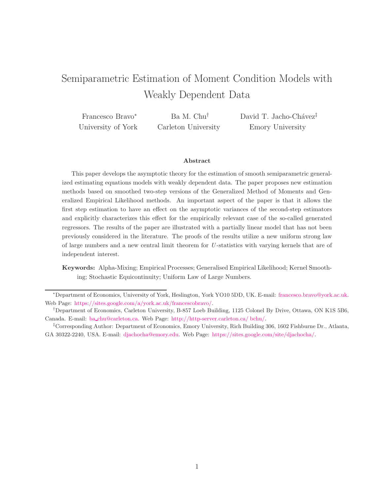# Semiparametric Estimation of Moment Condition Models with Weakly Dependent Data

| Francesco Bravo*   | Ba M. Chu <sup>†</sup> | David T. Jacho-Chávez <sup>†</sup> |
|--------------------|------------------------|------------------------------------|
| University of York | Carleton University    | Emory University                   |

#### Abstract

This paper develops the asymptotic theory for the estimation of smooth semiparametric generalized estimating equations models with weakly dependent data. The paper proposes new estimation methods based on smoothed two-step versions of the Generalized Method of Moments and Generalized Empirical Likelihood methods. An important aspect of the paper is that it allows the first step estimation to have an effect on the asymptotic variances of the second-step estimators and explicitly characterizes this effect for the empirically relevant case of the so-called generated regressors. The results of the paper are illustrated with a partially linear model that has not been previously considered in the literature. The proofs of the results utilize a new uniform strong law of large numbers and a new central limit theorem for U -statistics with varying kernels that are of independent interest.

Keywords: Alpha-Mixing; Empirical Processes; Generalised Empirical Likelihood; Kernel Smoothing; Stochastic Equicontinuity; Uniform Law of Large Numbers.

<sup>∗</sup>Department of Economics, University of York, Heslington, York YO10 5DD, UK. E-mail: francesco.bravo@york.ac.uk. Web Page: https://sites.google.com/a/york.ac.uk/francescobravo/.

<sup>†</sup>Department of Economics, Carleton University, B-857 Loeb Building, 1125 Colonel By Drive, Ottawa, ON K1S 5B6, Canada. E-mail: ba chu@carleton.ca. Web Page: http://http-server.carleton.ca/ bchu/.

<sup>‡</sup>Corresponding Author: Department of Economics, Emory University, Rich Building 306, 1602 Fishburne Dr., Atlanta, GA 30322-2240, USA. E-mail: djachocha@emory.edu. Web Page: https://sites.google.com/site/djachocha/.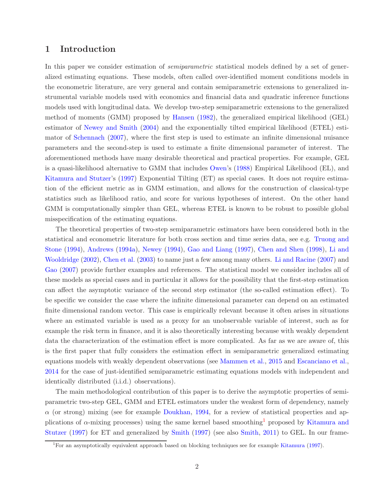# 1 Introduction

In this paper we consider estimation of *semiparametric* statistical models defined by a set of generalized estimating equations. These models, often called over-identified moment conditions models in the econometric literature, are very general and contain semiparametric extensions to generalized instrumental variable models used with economics and financial data and quadratic inference functions models used with longitudinal data. We develop two-step semiparametric extensions to the generalized method of moments (GMM) proposed by Hansen (1982), the generalized empirical likelihood (GEL) estimator of Newey and Smith (2004) and the exponentially tilted empirical likelihood (ETEL) estimator of Schennach (2007), where the first step is used to estimate an infinite dimensional nuisance parameters and the second-step is used to estimate a finite dimensional parameter of interest. The aforementioned methods have many desirable theoretical and practical properties. For example, GEL is a quasi-likelihood alternative to GMM that includes Owen's (1988) Empirical Likelihood (EL), and Kitamura and Stutzer's (1997) Exponential Tilting (ET) as special cases. It does not require estimation of the efficient metric as in GMM estimation, and allows for the construction of classical-type statistics such as likelihood ratio, and score for various hypotheses of interest. On the other hand GMM is computationally simpler than GEL, whereas ETEL is known to be robust to possible global misspecification of the estimating equations.

The theoretical properties of two-step semiparametric estimators have been considered both in the statistical and econometric literature for both cross section and time series data, see e.g. Truong and Stone (1994), Andrews (1994a), Newey (1994), Gao and Liang (1997), Chen and Shen (1998), Li and Wooldridge (2002), Chen et al. (2003) to name just a few among many others. Li and Racine (2007) and Gao (2007) provide further examples and references. The statistical model we consider includes all of these models as special cases and in particular it allows for the possibility that the first-step estimation can affect the asymptotic variance of the second step estimator (the so-called estimation effect). To be specific we consider the case where the infinite dimensional parameter can depend on an estimated finite dimensional random vector. This case is empirically relevant because it often arises in situations where an estimated variable is used as a proxy for an unobservable variable of interest, such as for example the risk term in finance, and it is also theoretically interesting because with weakly dependent data the characterization of the estimation effect is more complicated. As far as we are aware of, this is the first paper that fully considers the estimation effect in semiparametric generalized estimating equations models with weakly dependent observations (see Mammen et al., 2015 and Escanciano et al., 2014 for the case of just-identified semiparametric estimating equations models with independent and identically distributed (i.i.d.) observations).

The main methodological contribution of this paper is to derive the asymptotic properties of semiparametric two-step GEL, GMM and ETEL estimators under the weakest form of dependency, namely  $\alpha$  (or strong) mixing (see for example Doukhan, 1994, for a review of statistical properties and applications of  $\alpha$ -mixing processes) using the same kernel based smoothing<sup>1</sup> proposed by Kitamura and Stutzer (1997) for ET and generalized by Smith (1997) (see also Smith, 2011) to GEL. In our frame-

<sup>1</sup>For an asymptotically equivalent approach based on blocking techniques see for example Kitamura (1997).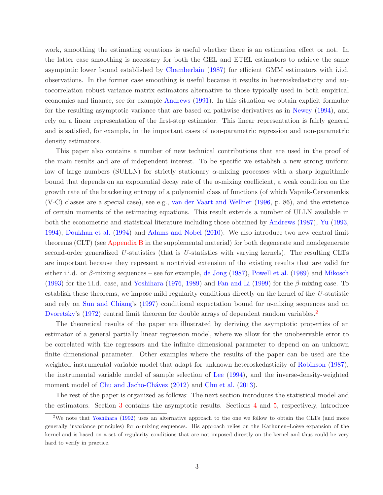work, smoothing the estimating equations is useful whether there is an estimation effect or not. In the latter case smoothing is necessary for both the GEL and ETEL estimators to achieve the same asymptotic lower bound established by Chamberlain (1987) for efficient GMM estimators with i.i.d. observations. In the former case smoothing is useful because it results in heteroskedasticity and autocorrelation robust variance matrix estimators alternative to those typically used in both empirical economics and finance, see for example Andrews (1991). In this situation we obtain explicit formulae for the resulting asymptotic variance that are based on pathwise derivatives as in Newey (1994), and rely on a linear representation of the first-step estimator. This linear representation is fairly general and is satisfied, for example, in the important cases of non-parametric regression and non-parametric density estimators.

This paper also contains a number of new technical contributions that are used in the proof of the main results and are of independent interest. To be specific we establish a new strong uniform law of large numbers (SULLN) for strictly stationary  $\alpha$ -mixing processes with a sharp logarithmic bound that depends on an exponential decay rate of the  $\alpha$ -mixing coefficient, a weak condition on the growth rate of the bracketing entropy of a polynomial class of functions (of which Vapnik-Cervonenkis (V-C) classes are a special case), see e.g., van der Vaart and Wellner (1996, p. 86), and the existence of certain moments of the estimating equations. This result extends a number of ULLN available in both the econometric and statistical literature including those obtained by Andrews (1987), Yu (1993, 1994), Doukhan et al. (1994) and Adams and Nobel (2010). We also introduce two new central limit theorems (CLT) (see Appendix B in the supplemental material) for both degenerate and nondegenerate second-order generalized  $U$ -statistics (that is  $U$ -statistics with varying kernels). The resulting CLTs are important because they represent a nontrivial extension of the existing results that are valid for either i.i.d. or  $\beta$ -mixing sequences – see for example, de Jong (1987), Powell et al. (1989) and Mikosch (1993) for the i.i.d. case, and Yoshihara (1976, 1989) and Fan and Li (1999) for the β-mixing case. To establish these theorems, we impose mild regularity conditions directly on the kernel of the U-statistic and rely on Sun and Chiang's (1997) conditional expectation bound for  $\alpha$ -mixing sequences and on Dvoretsky's (1972) central limit theorem for double arrays of dependent random variables.<sup>2</sup>

The theoretical results of the paper are illustrated by deriving the asymptotic properties of an estimator of a general partially linear regression model, where we allow for the unobservable error to be correlated with the regressors and the infinite dimensional parameter to depend on an unknown finite dimensional parameter. Other examples where the results of the paper can be used are the weighted instrumental variable model that adapt for unknown heteroskedasticity of Robinson (1987), the instrumental variable model of sample selection of Lee (1994), and the inverse-density-weighted moment model of Chu and Jacho-Chávez (2012) and Chu et al. (2013).

The rest of the paper is organized as follows: The next section introduces the statistical model and the estimators. Section 3 contains the asymptotic results. Sections 4 and 5, respectively, introduce

<sup>&</sup>lt;sup>2</sup>We note that Yoshihara (1992) uses an alternative approach to the one we follow to obtain the CLTs (and more generally invariance principles) for  $\alpha$ -mixing sequences. His approach relies on the Karhunen–Loève expansion of the kernel and is based on a set of regularity conditions that are not imposed directly on the kernel and thus could be very hard to verify in practice.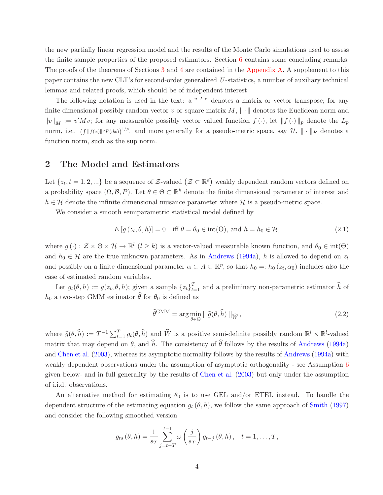the new partially linear regression model and the results of the Monte Carlo simulations used to assess the finite sample properties of the proposed estimators. Section 6 contains some concluding remarks. The proofs of the theorems of Sections 3 and 4 are contained in the Appendix A. A supplement to this paper contains the new CLT's for second-order generalized U -statistics, a number of auxiliary technical lemmas and related proofs, which should be of independent interest.

The following notation is used in the text:  $a " ' "$  denotes a matrix or vector transpose; for any finite dimensional possibly random vector v or square matrix  $M$ ,  $\|\cdot\|$  denotes the Euclidean norm and  $||v||_M := v'Mv$ ; for any measurable possibly vector valued function  $f(\cdot)$ , let  $||f(\cdot)||_p$  denote the  $L_p$ norm, i.e.,  $(f \| f(x) \|^{p} P(dx))^{1/p}$ , and more generally for a pseudo-metric space, say  $\mathcal{H}$ ,  $\|\cdot\|_{\mathcal{H}}$  denotes a function norm, such as the sup norm.

# 2 The Model and Estimators

Let  $\{z_t, t = 1, 2, ...\}$  be a sequence of Z-valued  $(\mathcal{Z} \subset \mathbb{R}^d)$  weakly dependent random vectors defined on a probability space  $(\Omega, \mathcal{B}, P)$ . Let  $\theta \in \Theta \subset \mathbb{R}^k$  denote the finite dimensional parameter of interest and  $h \in \mathcal{H}$  denote the infinite dimensional nuisance parameter where  $\mathcal{H}$  is a pseudo-metric space.

We consider a smooth semiparametric statistical model defined by

$$
E[g(z_t, \theta, h)] = 0 \quad \text{iff } \theta = \theta_0 \in \text{int}(\Theta), \text{ and } h = h_0 \in \mathcal{H}, \tag{2.1}
$$

where  $g(\cdot): \mathcal{Z} \times \Theta \times \mathcal{H} \to \mathbb{R}^l$   $(l \geq k)$  is a vector-valued measurable known function, and  $\theta_0 \in \text{int}(\Theta)$ and  $h_0 \in \mathcal{H}$  are the true unknown parameters. As in Andrews (1994a), h is allowed to depend on  $z_t$ and possibly on a finite dimensional parameter  $\alpha \subset A \subset \mathbb{R}^p$ , so that  $h_0 =: h_0(z_t, \alpha_0)$  includes also the case of estimated random variables.

Let  $g_t(\theta, h) := g(z_t, \theta, h)$ ; given a sample  $\{z_t\}_{t=1}^T$  and a preliminary non-parametric estimator  $\hat{h}$  of  $h_0$  a two-step GMM estimator  $\widehat{\theta}$  for  $\theta_0$  is defined as

$$
\widehat{\theta}^{\text{GMM}} = \arg\min_{\theta \in \Theta} \|\widehat{g}(\theta, \widehat{h})\|_{\widehat{W}},\tag{2.2}
$$

where  $\widehat{g}(\theta, \widehat{h}) := T^{-1} \sum_{t=1}^{T} g_t(\theta, \widehat{h})$  and  $\widehat{W}$  is a positive semi-definite possibly random  $\mathbb{R}^l \times \mathbb{R}^l$ -valued matrix that may depend on  $\theta$ , and  $\hat{h}$ . The consistency of  $\hat{\theta}$  follows by the results of Andrews (1994a) and Chen et al. (2003), whereas its asymptotic normality follows by the results of Andrews (1994a) with weakly dependent observations under the assumption of asymptotic orthogonality - see Assumption 6 given below- and in full generality by the results of Chen et al. (2003) but only under the assumption of i.i.d. observations.

An alternative method for estimating  $\theta_0$  is to use GEL and/or ETEL instead. To handle the dependent structure of the estimating equation  $g_t(\theta, h)$ , we follow the same approach of Smith (1997) and consider the following smoothed version

$$
g_{ts}(\theta, h) = \frac{1}{s_T} \sum_{j=t-T}^{t-1} \omega\left(\frac{j}{s_T}\right) g_{t-j}(\theta, h), \quad t = 1, \dots, T,
$$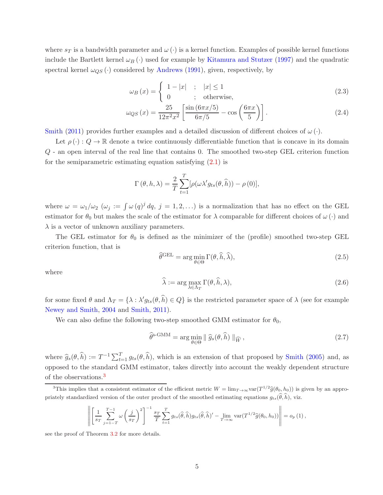where  $s_T$  is a bandwidth parameter and  $\omega(\cdot)$  is a kernel function. Examples of possible kernel functions include the Bartlett kernel  $\omega_B(\cdot)$  used for example by Kitamura and Stutzer (1997) and the quadratic spectral kernel  $\omega_{QS}(\cdot)$  considered by Andrews (1991), given, respectively, by

$$
\omega_B(x) = \begin{cases} 1 - |x| & ; |x| \le 1 \\ 0 & ; \text{otherwise,} \end{cases}
$$
 (2.3)

$$
\omega_{QS}(x) = \frac{25}{12\pi^2 x^2} \left[ \frac{\sin (6\pi x/5)}{6\pi/5} - \cos \left( \frac{6\pi x}{5} \right) \right].
$$
 (2.4)

Smith (2011) provides further examples and a detailed discussion of different choices of  $\omega(\cdot)$ .

Let  $\rho(\cdot): Q \to \mathbb{R}$  denote a twice continuously differentiable function that is concave in its domain Q - an open interval of the real line that contains 0. The smoothed two-step GEL criterion function for the semiparametric estimating equation satisfying  $(2.1)$  is

$$
\Gamma(\theta, h, \lambda) = \frac{2}{T} \sum_{t=1}^{T} [\rho(\omega \lambda' g_{ts}(\theta, \widehat{h})) - \rho(0)],
$$

where  $\omega = \omega_1/\omega_2$  ( $\omega_j := \int \omega (q)^j dq$ ,  $j = 1, 2, \ldots$ ) is a normalization that has no effect on the GEL estimator for  $\theta_0$  but makes the scale of the estimator for  $\lambda$  comparable for different choices of  $\omega(\cdot)$  and  $\lambda$  is a vector of unknown auxiliary parameters.

The GEL estimator for  $\theta_0$  is defined as the minimizer of the (profile) smoothed two-step GEL criterion function, that is

$$
\hat{\theta}^{\text{GEL}} = \arg\min_{\theta \in \Theta} \Gamma(\theta, \hat{h}, \hat{\lambda}),\tag{2.5}
$$

where

$$
\widehat{\lambda} := \arg \max_{\lambda \in \Lambda_T} \Gamma(\theta, \widehat{h}, \lambda), \tag{2.6}
$$

for some fixed  $\theta$  and  $\Lambda_T = \{\lambda : \lambda' g_{ts}(\theta, \hat{h}) \in Q\}$  is the restricted parameter space of  $\lambda$  (see for example Newey and Smith, 2004 and Smith, 2011).

We can also define the following two-step smoothed GMM estimator for  $\theta_0$ ,

$$
\widehat{\theta}^{\text{s-GMM}} = \arg\min_{\theta \in \Theta} \|\widehat{g}_{s}(\theta,\widehat{h})\|_{\widehat{W}},\tag{2.7}
$$

where  $\hat{g}_s(\theta, \hat{h}) := T^{-1} \sum_{t=1}^T g_{ts}(\theta, \hat{h})$ , which is an extension of that proposed by Smith (2005) and, as opposed to the standard GMM estimator, takes directly into account the weakly dependent structure of the observations.<sup>3</sup>

$$
\left\| \left[ \frac{1}{s_T} \sum_{j=1-T}^{T-1} \omega \left( \frac{j}{s_T} \right)^2 \right]^{-1} \frac{s_T}{T} \sum_{t=1}^T g_{ts}(\widehat{\theta}, \widehat{h}) g_{ts}(\widehat{\theta}, \widehat{h})' - \lim_{T \to \infty} \text{var}(T^{1/2} \widehat{g}(\theta_0, h_0)) \right\| = o_p(1),
$$

see the proof of Theorem 3.2 for more details.

<sup>&</sup>lt;sup>3</sup>This implies that a consistent estimator of the efficient metric  $W = \lim_{T \to \infty} \text{var}(T^{1/2}\hat{g}(\theta_0, h_0))$  is given by an appropriately standardized version of the outer product of the smoothed estimating equations  $g_{ts}(\hat{\theta}, \hat{h})$ , viz.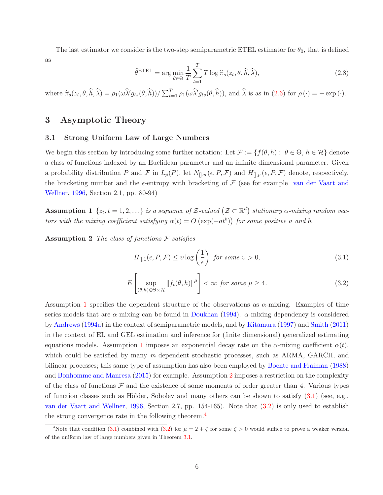The last estimator we consider is the two-step semiparametric ETEL estimator for  $\theta_0$ , that is defined as

$$
\widehat{\theta}^{\text{ETEL}} = \arg \min_{\theta \in \Theta} \frac{1}{T} \sum_{t=1}^{T} T \log \widehat{\pi}_s(z_t, \theta, \widehat{h}, \widehat{\lambda}), \tag{2.8}
$$

where  $\hat{\pi}_s(z_t, \theta, \hat{h}, \hat{\lambda}) = \rho_1(\omega \hat{\lambda}' g_{ts}(\theta, \hat{h})) / \sum_{t=1}^T \rho_1(\omega \hat{\lambda}' g_{ts}(\theta, \hat{h}))$ , and  $\hat{\lambda}$  is as in (2.6) for  $\rho(\cdot) = -\exp(\cdot)$ .

# 3 Asymptotic Theory

#### 3.1 Strong Uniform Law of Large Numbers

We begin this section by introducing some further notation: Let  $\mathcal{F} := \{f(\theta, h): \theta \in \Theta, h \in \mathcal{H}\}\$  denote a class of functions indexed by an Euclidean parameter and an infinite dimensional parameter. Given a probability distribution P and F in  $L_p(P)$ , let  $N_{\parallel,p}(\epsilon, P, \mathcal{F})$  and  $H_{\parallel,p}(\epsilon, P, \mathcal{F})$  denote, respectively, the bracketing number and the  $\epsilon$ -entropy with bracketing of  $\mathcal F$  (see for example van der Vaart and Wellner, 1996, Section 2.1, pp. 80-94)

**Assumption 1**  $\{z_t, t = 1, 2, ...\}$  is a sequence of Z-valued  $(\mathcal{Z} \subset \mathbb{R}^d)$  stationary  $\alpha$ -mixing random vectors with the mixing coefficient satisfying  $\alpha(t) = O\left(\exp(-at^b)\right)$  for some positive a and b.

**Assumption 2** The class of functions  $\mathcal F$  satisfies

$$
H_{[],1}(\epsilon, P, \mathcal{F}) \le v \log\left(\frac{1}{\epsilon}\right) \text{ for some } v > 0,
$$
\n(3.1)

$$
E\left[\sup_{(\theta,h)\in\Theta\times\mathcal{H}}\|f_t(\theta,h)\|^{\mu}\right]<\infty \text{ for some } \mu\geq 4.
$$
 (3.2)

Assumption 1 specifies the dependent structure of the observations as  $\alpha$ -mixing. Examples of time series models that are  $\alpha$ -mixing can be found in Doukhan (1994).  $\alpha$ -mixing dependency is considered by Andrews (1994a) in the context of semiparametric models, and by Kitamura (1997) and Smith (2011) in the context of EL and GEL estimation and inference for (finite dimensional) generalized estimating equations models. Assumption 1 imposes an exponential decay rate on the  $\alpha$ -mixing coefficient  $\alpha(t)$ , which could be satisfied by many m-dependent stochastic processes, such as ARMA, GARCH, and bilinear processes; this same type of assumption has also been employed by Boente and Fraiman (1988) and Bonhomme and Manresa (2015) for example. Assumption 2 imposes a restriction on the complexity of the class of functions  $\mathcal F$  and the existence of some moments of order greater than 4. Various types of function classes such as Hölder, Sobolev and many others can be shown to satisfy  $(3.1)$  (see, e.g., van der Vaart and Wellner, 1996, Section 2.7, pp. 154-165). Note that (3.2) is only used to establish the strong convergence rate in the following theorem.<sup>4</sup>

<sup>&</sup>lt;sup>4</sup>Note that condition (3.1) combined with (3.2) for  $\mu = 2 + \zeta$  for some  $\zeta > 0$  would suffice to prove a weaker version of the uniform law of large numbers given in Theorem 3.1.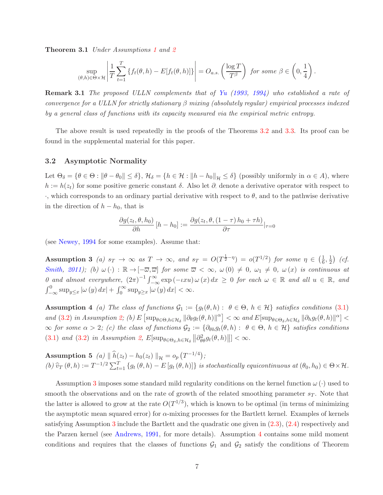**Theorem 3.1** Under Assumptions 1 and 2

$$
\sup_{(\theta,h)\in\Theta\times\mathcal{H}}\left|\frac{1}{T}\sum_{t=1}^T\left\{f_t(\theta,h)-E[f_t(\theta,h)]\right\}\right|=O_{a.s.}\left(\frac{\log T}{T^{\beta}}\right) \text{ for some } \beta\in\left(0,\frac{1}{4}\right).
$$

Remark 3.1 The proposed ULLN complements that of Yu (1993, 1994) who established a rate of convergence for a ULLN for strictly stationary  $\beta$  mixing (absolutely regular) empirical processes indexed by a general class of functions with its capacity measured via the empirical metric entropy.

The above result is used repeatedly in the proofs of the Theorems 3.2 and 3.3. Its proof can be found in the supplemental material for this paper.

#### 3.2 Asymptotic Normality

Let  $\Theta_{\delta} = \{\theta \in \Theta : ||\theta - \theta_0|| \leq \delta\}, \mathcal{H}_{\delta} = \{h \in \mathcal{H} : ||h - h_0||_{\mathcal{H}} \leq \delta\}$  (possibly uniformly in  $\alpha \in A$ ), where  $h := h(z_t)$  for some positive generic constant  $\delta$ . Also let  $\partial$  denote a derivative operator with respect to ·, which corresponds to an ordinary partial derivative with respect to θ, and to the pathwise derivative in the direction of  $h - h_0$ , that is

$$
\frac{\partial g(z_t, \theta, h_0)}{\partial h} [h - h_0] := \frac{\partial g(z_t, \theta, (1 - \tau) h_0 + \tau h)}{\partial \tau}|_{\tau = 0}
$$

(see Newey, 1994 for some examples). Assume that:

Assumption 3 (a)  $s_T \to \infty$  as  $T \to \infty$ , and  $s_T = O(T^{\frac{1}{2}-\eta}) = o(T^{1/2})$  for some  $\eta \in (\frac{1}{6})$  $\frac{1}{6}, \frac{1}{2}$  $\frac{1}{2}$  (cf. Smith, 2011); (b)  $\omega(\cdot) : \mathbb{R} \to [-\overline{\omega}, \overline{\omega}]$  for some  $\overline{\omega} < \infty$ ,  $\omega(0) \neq 0$ ,  $\omega_1 \neq 0$ ,  $\omega(x)$  is continuous at  $0$  and almost everywhere,  $(2\pi)^{-1} \int_{-\infty}^{\infty} \exp(-\iota x u) \omega(x) dx \ge 0$  for each  $\omega \in \mathbb{R}$  and all  $u \in \mathbb{R}$ , and  $\int_{-\infty}^{0} \sup_{y \leq x} |\omega(y)| dx + \int_{0}^{\infty} \sup_{y \geq x} |\omega(y)| dx < \infty.$ 

**Assumption 4** (a) The class of functions  $\mathcal{G}_1 := \{g_t(\theta, h): \theta \in \Theta, h \in \mathcal{H}\}\$  satisfies conditions (3.1) and (3.2) in Assumption 2; (b)  $E \left[ \sup_{\theta \in \Theta, h \in \mathcal{H}_{\delta}} \left\| \partial_{\theta} g_t(\theta, h) \right\|^{\alpha} \right] < \infty$  and  $E \left[ \sup_{\theta \in \Theta_{\delta}, h \in \mathcal{H}_{\delta}} \left\| \partial_{h} g_t(\theta, h) \right\|^{\alpha} \right] <$  $\infty$  for some  $\alpha > 2$ ; (c) the class of functions  $\mathcal{G}_2 := \{\partial_{\theta h} g_t(\theta, h) : \theta \in \Theta, h \in \mathcal{H}\}\$  satisfies conditions (3.1) and (3.2) in Assumption 2,  $E[\sup_{\theta \in \Theta_{\delta}, h \in \mathcal{H}_{\delta}} || \partial_{\theta\theta}^2 g_t(\theta, h) ||] < \infty$ .

**Assumption 5** (a)  $\|\hat{h}(z_t) - h_0(z_t)\|_{\mathcal{H}} = o_p(T^{-1/4});$ (b)  $\hat{v}_T(\theta, h) := T^{-1/2} \sum_{t=1}^T \{g_t(\theta, h) - E[g_t(\theta, h)]\}$  is stochastically equicontinuous at  $(\theta_0, h_0) \in \Theta \times \mathcal{H}$ .

Assumption 3 imposes some standard mild regularity conditions on the kernel function  $\omega(\cdot)$  used to smooth the observations and on the rate of growth of the related smoothing parameter  $s_T$ . Note that the latter is allowed to grow at the rate  $O(T^{1/3})$ , which is known to be optimal (in terms of minimizing the asymptotic mean squared error) for  $\alpha$ -mixing processes for the Bartlett kernel. Examples of kernels satisfying Assumption 3 include the Bartlett and the quadratic one given in (2.3), (2.4) respectively and the Parzen kernel (see Andrews, 1991, for more details). Assumption 4 contains some mild moment conditions and requires that the classes of functions  $\mathcal{G}_1$  and  $\mathcal{G}_2$  satisfy the conditions of Theorem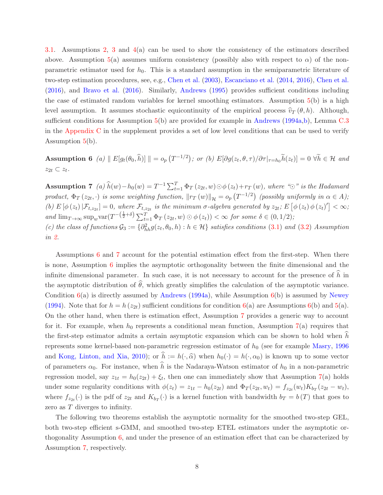3.1. Assumptions 2, 3 and 4(a) can be used to show the consistency of the estimators described above. Assumption 5(a) assumes uniform consistency (possibly also with respect to  $\alpha$ ) of the nonparametric estimator used for  $h_0$ . This is a standard assumption in the semiparametric literature of two-step estimation procedures, see, e.g., Chen et al. (2003), Escanciano et al. (2014, 2016), Chen et al. (2016), and Bravo et al. (2016). Similarly, Andrews (1995) provides sufficient conditions including the case of estimated random variables for kernel smoothing estimators. Assumption 5(b) is a high level assumption. It assumes stochastic equicontinuity of the empirical process  $\hat{v}_T(\theta, h)$ . Although, sufficient conditions for Assumption 5(b) are provided for example in Andrews (1994a,b), Lemma C.3 in the Appendix C in the supplement provides a set of low level conditions that can be used to verify Assumption 5(b).

**Assumption 6** (a)  $\| E[g_t(\theta_0, \hat{h})] \| = o_p(T^{-1/2})$ ; or (b)  $E[\partial g(z_t, \theta, \tau)/\partial \tau |_{\tau=h_0} \tilde{h}(z_t)] = 0 \ \forall \tilde{h} \in \mathcal{H}$  and  $z_{2t} \subset z_t$ .

Assumption 7 (a)  $\hat{h}(w) - h_0(w) = T^{-1} \sum_{t=1}^T \Phi_T(z_{2t}, w) \odot \phi(z_t) + r_T(w)$ , where " $\odot$ " is the Hadamard product,  $\Phi_T(z_{2t},\cdot)$  is some weighting function,  $\|r_T(w)\|_{\mathcal{H}} = o_p(T^{-1/2})$  (possibly uniformly in  $\alpha \in A$ ); (b)  $E\left[\phi\left(z_t\right)|\mathcal{F}_{t,z_{2t}}\right]=0$ , where  $\mathcal{F}_{t,z_{2t}}$  is the minimum  $\sigma$ -algebra generated by  $z_{2t}$ ;  $E\left[\phi\left(z_t\right)\phi\left(z_t\right)'\right]<\infty$ ; and  $\lim_{T\to\infty} \sup_w \text{var}(T^{-\left(\frac{1}{2}+\delta\right)} \sum_{t=1}^T \Phi_T(z_{2t},w) \odot \phi(z_t)) < \infty$  for some  $\delta \in (0,1/2)$ ; (c) the class of functions  $\mathcal{G}_3 := \{\partial_{hh}^2 g(z_t, \theta_0, h) : h \in \mathcal{H}\}\$  satisfies conditions (3.1) and (3.2) Assumption in 2.

Assumptions 6 and 7 account for the potential estimation effect from the first-step. When there is none, Assumption 6 implies the asymptotic orthogonality between the finite dimensional and the infinite dimensional parameter. In such case, it is not necessary to account for the presence of  $\hat{h}$  in the asymptotic distribution of  $\hat{\theta}$ , which greatly simplifies the calculation of the asymptotic variance. Condition  $6(a)$  is directly assumed by Andrews (1994a), while Assumption  $6(b)$  is assumed by Newey (1994). Note that for  $h = h(z_{2t})$  sufficient conditions for condition 6(a) are Assumptions 6(b) and 5(a). On the other hand, when there is estimation effect, Assumption 7 provides a generic way to account for it. For example, when  $h_0$  represents a conditional mean function, Assumption 7(a) requires that the first-step estimator admits a certain asymptotic expansion which can be shown to hold when  $\hat{h}$ represents some kernel-based non-parametric regression estimator of  $h_0$  (see for example Masry, 1996) and Kong, Linton, and Xia, 2010); or  $\hat{h} := h(\cdot, \hat{\alpha})$  when  $h_0(\cdot) = h(\cdot, \alpha_0)$  is known up to some vector of parameters  $\alpha_0$ . For instance, when  $\hat{h}$  is the Nadaraya-Watson estimator of  $h_0$  in a non-parametric regression model, say  $z_{1t} = h_0(z_{2t}) + \xi_t$ , then one can immediately show that Assumption 7(a) holds under some regularity conditions with  $\phi(z_t) = z_{1t} - h_0(z_{2t})$  and  $\Phi_T(z_{2t}, w_t) = f_{z_{2t}}(w_t) K_{b_T}(z_{2t} - w_t)$ , where  $f_{z_{2t}}(\cdot)$  is the pdf of  $z_{2t}$  and  $K_{b_T}(\cdot)$  is a kernel function with bandwidth  $b_T = b(T)$  that goes to zero as T diverges to infinity.

The following two theorems establish the asymptotic normality for the smoothed two-step GEL, both two-step efficient s-GMM, and smoothed two-step ETEL estimators under the asymptotic orthogonality Assumption 6, and under the presence of an estimation effect that can be characterized by Assumption 7, respectively.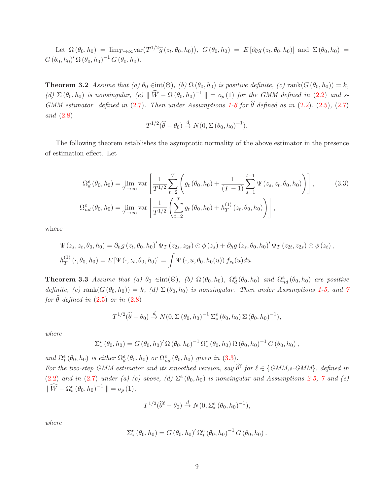Let  $\Omega(\theta_0, h_0) = \lim_{T \to \infty} \text{var}(T^{1/2}\hat{g}(z_t, \theta_0, h_0)), G(\theta_0, h_0) = E[\partial_\theta g(z_t, \theta_0, h_0)]$  and  $\Sigma(\theta_0, h_0) =$  $G (\theta_0, h_0)' \Omega (\theta_0, h_0)^{-1} G (\theta_0, h_0).$ 

**Theorem 3.2** Assume that (a)  $\theta_0 \in \text{int}(\Theta)$ , (b)  $\Omega(\theta_0, h_0)$  is positive definite, (c)  $\text{rank}(G(\theta_0, h_0)) = k$ , (d)  $\Sigma(\theta_0, h_0)$  is nonsingular, (e)  $\|\widehat{W} - \Omega(\theta_0, h_0)^{-1}\| = o_p(1)$  for the GMM defined in (2.2) and s-GMM estimator defined in (2.7). Then under Assumptions 1-6 for  $\hat{\theta}$  defined as in (2.2), (2.5), (2.7) and (2.8)

$$
T^{1/2}(\widehat{\theta}-\theta_0) \stackrel{d}{\rightarrow} N(0,\Sigma(\theta_0,h_0)^{-1}).
$$

The following theorem establishes the asymptotic normality of the above estimator in the presence of estimation effect. Let

$$
\Omega_d^e(\theta_0, h_0) = \lim_{T \to \infty} \text{var}\left[\frac{1}{T^{1/2}} \sum_{t=2}^T \left(g_t(\theta_0, h_0) + \frac{1}{(T-1)} \sum_{s=1}^{t-1} \Psi(z_s, z_t, \theta_0, h_0)\right)\right],
$$
\n(3.3)\n
$$
\Omega_{nd}^e(\theta_0, h_0) = \lim_{T \to \infty} \text{var}\left[\frac{1}{T^{1/2}} \left(\sum_{t=2}^T g_t(\theta_0, h_0) + h_T^{(1)}(z_t, \theta_0, h_0)\right)\right],
$$

where

$$
\Psi(z_{s}, z_{t}, \theta_{0}, h_{0}) = \partial_{h}g(z_{t}, \theta_{0}, h_{0})' \Phi_{T}(z_{2s}, z_{2t}) \odot \phi(z_{s}) + \partial_{h}g(z_{s}, \theta_{0}, h_{0})' \Phi_{T}(z_{2t}, z_{2s}) \odot \phi(z_{t}),
$$
  
\n
$$
h_{T}^{(1)}(\cdot, \theta_{0}, h_{0}) = E[\Psi(\cdot, z_{t}, \theta_{0}, h_{0})] = \int \Psi(\cdot, u, \theta_{0}, h_{0}(u)) f_{z_{t}}(u) du.
$$

**Theorem 3.3** Assume that (a)  $\theta_0 \in \text{int}(\Theta)$ , (b)  $\Omega(\theta_0, h_0)$ ,  $\Omega_d^e(\theta_0, h_0)$  and  $\Omega_{nd}^e(\theta_0, h_0)$  are positive definite, (c) rank $(G(\theta_0, h_0)) = k$ , (d)  $\Sigma(\theta_0, h_0)$  is nonsingular. Then under Assumptions 1-5, and 7 for  $\widehat{\theta}$  defined in (2.5) or in (2.8)

$$
T^{1/2}(\widehat{\theta}-\theta_0) \stackrel{d}{\rightarrow} N(0,\Sigma(\theta_0,h_0)^{-1} \Sigma^v_*(\theta_0,h_0) \Sigma(\theta_0,h_0)^{-1}),
$$

where

$$
\Sigma_*^v(\theta_0, h_0) = G(\theta_0, h_0)' \Omega(\theta_0, h_0)^{-1} \Omega_*^e(\theta_0, h_0) \Omega(\theta_0, h_0)^{-1} G(\theta_0, h_0) ,
$$

and  $\Omega_*^e(\theta_0, h_0)$  is either  $\Omega_d^e(\theta_0, h_0)$  or  $\Omega_{nd}^e(\theta_0, h_0)$  given in (3.3).

For the two-step GMM estimator and its smoothed version, say  $\widehat{\theta}^{\ell}$  for  $\ell \in \{GMM, s\text{-}GMM\}$ , defined in (2.2) and in (2.7) under (a)-(c) above, (d)  $\Sigma^e(\theta_0, h_0)$  is nonsingular and Assumptions 2-5, 7 and (e)  $\|\widehat{W} - \Omega_*^e(\theta_0, h_0)^{-1}\| = o_p(1),$ 

$$
T^{1/2}(\widehat{\theta}^{\ell} - \theta_0) \stackrel{d}{\rightarrow} N(0, \Sigma^e_*(\theta_0, h_0)^{-1}),
$$

where

$$
\Sigma_*^e(\theta_0, h_0) = G(\theta_0, h_0)' \Omega_*^e(\theta_0, h_0)^{-1} G(\theta_0, h_0).
$$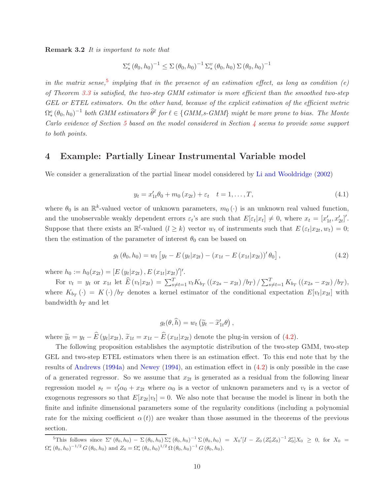Remark 3.2 It is important to note that

$$
\Sigma_*^e(\theta_0, h_0)^{-1} \le \Sigma(\theta_0, h_0)^{-1} \Sigma_*^v(\theta_0, h_0) \Sigma(\theta_0, h_0)^{-1}
$$

in the matrix sense,<sup>5</sup> implying that in the presence of an estimation effect, as long as condition (e) of Theorem 3.3 is satisfied, the two-step GMM estimator is more efficient than the smoothed two-step GEL or ETEL estimators. On the other hand, because of the explicit estimation of the efficient metric  $\Omega^e_*(\theta_0,h_0)^{-1}$  both GMM estimators  $\widehat{\theta}^\ell$  for  $\ell \in \{GMM,s\text{-}GMM\}$  might be more prone to bias. The Monte Carlo evidence of Section 5 based on the model considered in Section 4 seems to provide some support to both points.

#### 4 Example: Partially Linear Instrumental Variable model

We consider a generalization of the partial linear model considered by Li and Wooldridge (2002)

$$
y_t = x'_{1t}\theta_0 + m_0(x_{2t}) + \varepsilon_t \quad t = 1, \dots, T,
$$
\n(4.1)

where  $\theta_0$  is an  $\mathbb{R}^k$ -valued vector of unknown parameters,  $m_0(\cdot)$  is an unknown real valued function, and the unobservable weakly dependent errors  $\varepsilon_t$ 's are such that  $E[\varepsilon_t|x_t] \neq 0$ , where  $x_t = [x'_{1t}, x'_{2t}]'$ . Suppose that there exists an  $\mathbb{R}^l$ -valued  $(l \geq k)$  vector  $w_t$  of instruments such that  $E(\varepsilon_t|x_{2t}, w_t) = 0$ ; then the estimation of the parameter of interest  $\theta_0$  can be based on

$$
g_t(\theta_0, h_0) = w_t \left[ y_t - E\left( y_t | x_{2t} \right) - \left( x_{1t} - E\left( x_{1t} | x_{2t} \right) \right)' \theta_0 \right],\tag{4.2}
$$

where  $h_0 := h_0(x_{2t}) = [E(y_t|x_{2t}), E(x_{1t}|x_{2t})']'.$ 

For  $v_t = y_t$  or  $x_{1t}$  let  $\hat{E}(v_t|x_{2t}) = \sum_{s \neq t=1}^T v_t K_{b_T}((x_{2s} - x_{2t})/b_T) / \sum_{s \neq t=1}^T K_{b_T}((x_{2s} - x_{2t})/b_T)$ , where  $K_{b_T}(\cdot) = K(\cdot)/b_T$  denotes a kernel estimator of the conditional expectation  $E[v_t|x_{2t}]$  with bandwidth  $b_T$  and let

$$
g_t(\theta, \widehat{h}) = w_t \left( \widetilde{y}_t - \widetilde{x}'_{1t} \theta \right),
$$

where  $\tilde{y}_t = y_t - E(y_t|x_{2t}), \tilde{x}_{1t} = x_{1t} - E(x_{1t}|x_{2t})$  denote the plug-in version of (4.2).

The following proposition establishes the asymptotic distribution of the two-step GMM, two-step GEL and two-step ETEL estimators when there is an estimation effect. To this end note that by the results of Andrews (1994a) and Newey (1994), an estimation effect in (4.2) is only possible in the case of a generated regressor. So we assume that  $x_{2t}$  is generated as a residual from the following linear regression model  $s_t = v'_t \alpha_0 + x_{2t}$  where  $\alpha_0$  is a vector of unknown parameters and  $v_t$  is a vector of exogenous regressors so that  $E[x_{2t}|v_t] = 0$ . We also note that because the model is linear in both the finite and infinite dimensional parameters some of the regularity conditions (including a polynomial rate for the mixing coefficient  $\alpha(t)$  are weaker than those assumed in the theorems of the previous section.

<sup>&</sup>lt;sup>5</sup>This follows since  $\Sigma^e(\theta_0, h_0) - \Sigma(\theta_0, h_0) \Sigma_*^v(\theta_0, h_0)^{-1} \Sigma(\theta_0, h_0) = X_0'[I - Z_0 (Z_0'Z_0)^{-1} Z_0']X_0 \geq 0$ , for  $X_0 =$  $\Omega_*^e (\theta_0, h_0)^{-1/2} G (\theta_0, h_0)$  and  $Z_0 = \Omega_*^e (\theta_0, h_0)^{1/2} \Omega (\theta_0, h_0)^{-1} G (\theta_0, h_0)$ .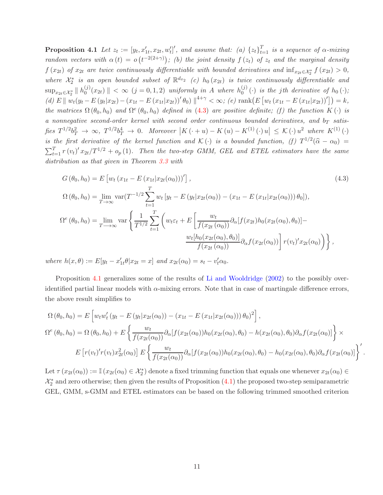**Proposition 4.1** Let  $z_t := [y_t, x'_{1t}, x_{2t}, w'_t]'$ , and assume that: (a)  $\{z_t\}_{t=1}^T$  is a sequence of  $\alpha$ -mixing random vectors with  $\alpha(t) = o(t^{-2(2+\gamma)})$ ; (b) the joint density  $f(z_t)$  of  $z_t$  and the marginal density  $f(x_{2t})$  of  $x_{2t}$  are twice continuously differentiable with bounded derivatives and  $\inf_{x_{2t}\in\mathcal{X}_2^*} f(x_{2t}) > 0$ , where  $\mathcal{X}_2^*$  is an open bounded subset of  $\mathbb{R}^{d_{x_2}}$  (c)  $h_0(x_{2t})$  is twice continuously differentiable and  $\sup_{x_{2t}\in\mathcal{X}_2^*} \parallel h_0^{(j)}$  $\binom{(j)}{0}(x_{2t})$  ||  $<\infty$  (j = 0, 1, 2) uniformly in A where  $h_0^{(j)}$  $\binom{0}{0}$  (c) is the jth derivative of  $h_0(.)$ ; (d)  $E \| w_t(y_t - E(y_t | x_{2t}) - (x_{1t} - E(x_{1t} | x_{2t}))' \theta_0) \|^{4+\gamma} < \infty$ ; (e) rank $(E [w_t (x_{1t} - E(x_{1t} | x_{2t}))' ]) = k$ , the matrices  $\Omega(\theta_0, h_0)$  and  $\Omega^e(\theta_0, h_0)$  defined in (4.3) are positive definite; (f) the function  $K(\cdot)$  is a nonnegative second-order kernel with second order continuous bounded derivatives, and  $b_T$  satis $f$ ies  $T^{1/2}b_T^2 \to \infty$ ,  $T^{1/2}b_T^4 \to 0$ . Moreover  $\left| K(\cdot + u) - K(u) - K^{(1)}(\cdot) u \right| \leq K(\cdot) u^2$  where  $K^{(1)}(\cdot)$ is the first derivative of the kernel function and  $\mathcal{K}(\cdot)$  is a bounded function, (f)  $T^{1/2}(\widehat{\alpha}-\alpha_0)$  =  $\sum_{t=1}^{T} r(v_t)' x_{2t}/T^{1/2} + o_p(1)$ . Then the two-step GMM, GEL and ETEL estimators have the same distribution as that given in Theorem 3.3 with

$$
G(\theta_{0}, h_{0}) = E \left[ w_{t} (x_{1t} - E (x_{1t} | x_{2t}(\alpha_{0})))' \right],
$$
\n
$$
\Omega(\theta_{0}, h_{0}) = \lim_{T \to \infty} \text{var}(T^{-1/2} \sum_{t=1}^{T} w_{t} [y_{t} - E (y_{t} | x_{2t}(\alpha_{0})) - (x_{1t} - E (x_{1t} | x_{2t}(\alpha_{0}))) \theta_{0}]),
$$
\n
$$
\Omega^{e}(\theta_{0}, h_{0}) = \lim_{T \to \infty} \text{var}\left\{ \frac{1}{T^{1/2}} \sum_{t=1}^{T} \left( w_{t} \varepsilon_{t} + E \left[ \frac{w_{t}}{f(x_{2t}(\alpha_{0}))} \partial_{\alpha}[f(x_{2t}) h_{0}(x_{2t}(\alpha_{0}), \theta_{0})] - \frac{w_{t} [h_{0}(x_{2t}(\alpha_{0}), \theta_{0})]}{f(x_{2t}(\alpha_{0}))} \partial_{\alpha}f(x_{2t}(\alpha_{0})) \right] r(v_{t})' x_{2t}(\alpha_{0}) \right\},
$$
\n(4.3)

where  $h(x, \theta) := E[y_t - x'_{1t} \theta | x_{2t} = x]$  and  $x_{2t}(\alpha_0) = s_t - v'_t \alpha_0$ .

Proposition 4.1 generalizes some of the results of Li and Wooldridge (2002) to the possibly overidentified partial linear models with  $\alpha$ -mixing errors. Note that in case of martingale difference errors, the above result simplifies to

$$
\Omega(\theta_0, h_0) = E\left[w_t w_t'(y_t - E(y_t|x_{2t}(\alpha_0)) - (x_{1t} - E(x_{1t}|x_{2t}(\alpha_0)))\theta_0)^2\right],
$$
  
\n
$$
\Omega^e(\theta_0, h_0) = \Omega(\theta_0, h_0) + E\left\{\frac{w_t}{f(x_{2t}(\alpha_0))}\partial_\alpha[f(x_{2t}(\alpha_0))h_0(x_{2t}(\alpha_0), \theta_0) - h(x_{2t}(\alpha_0), \theta_0)\partial_\alpha f(x_{2t}(\alpha_0))\right\} \times
$$
  
\n
$$
E\left[r(v_t)'r(v_t)x_{2t}^2(\alpha_0)\right]E\left\{\frac{w_t}{f(x_{2t}(\alpha_0))}\partial_\alpha[f(x_{2t}(\alpha_0))h_0(x_{2t}(\alpha_0), \theta_0) - h_0(x_{2t}(\alpha_0), \theta_0)\partial_\alpha f(x_{2t}(\alpha_0))\right\}.
$$

Let  $\tau(x_{2t}(\alpha_0)) := \mathbb{I}(x_{2t}(\alpha_0) \in \mathcal{X}_2^*)$  denote a fixed trimming function that equals one whenever  $x_{2t}(\alpha_0) \in$  $\mathcal{X}_2^*$  and zero otherwise; then given the results of Proposition  $(4.1)$  the proposed two-step semiparametric GEL, GMM, s-GMM and ETEL estimators can be based on the following trimmed smoothed criterion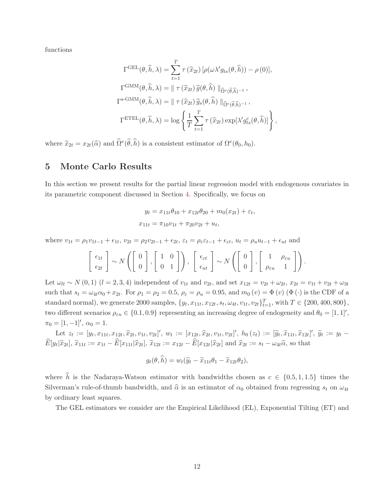functions

$$
\Gamma^{\text{GEL}}(\theta, \hat{h}, \lambda) = \sum_{t=1}^{T} \tau(\hat{x}_{2t}) \left[ \rho(\omega \lambda' g_{ts}(\theta, \hat{h})) - \rho(0) \right],
$$
  

$$
\Gamma^{\text{GMM}}(\theta, \hat{h}, \lambda) = || \tau(\hat{x}_{2t}) \hat{g}(\theta, \hat{h}) ||_{\hat{\Omega}^e(\tilde{\theta}, \hat{h})^{-1}},
$$
  

$$
\Gamma^{\text{s-GMM}}(\theta, \hat{h}, \lambda) = || \tau(\hat{x}_{2t}) \hat{g}_s(\theta, \hat{h}) ||_{\hat{\Omega}^e(\tilde{\theta}, \hat{h})^{-1}},
$$
  

$$
\Gamma^{\text{ETEL}}(\theta, \hat{h}, \lambda) = \log \left\{ \frac{1}{T} \sum_{t=1}^{T} \tau(\hat{x}_{2t}) \exp[\lambda' g_{ts}^c(\theta, \hat{h})] \right\},
$$

where  $\hat{x}_{2t} = x_{2t}(\hat{\alpha})$  and  $\hat{\Omega}^e(\hat{\theta}, \hat{h})$  is a consistent estimator of  $\Omega^e(\theta_0, h_0)$ .

#### 5 Monte Carlo Results

In this section we present results for the partial linear regression model with endogenous covariates in its parametric component discussed in Section 4. Specifically, we focus on

$$
y_t = x_{11t}\theta_{10} + x_{12t}\theta_{20} + m_0(x_{2t}) + \varepsilon_t,
$$
  

$$
x_{11t} = \pi_{10}v_{1t} + \pi_{20}v_{2t} + u_t,
$$

where  $v_{1t} = \rho_1 v_{1t-1} + \epsilon_{1t}$ ,  $v_{2t} = \rho_2 v_{2t-1} + \epsilon_{2t}$ ,  $\varepsilon_t = \rho_{\varepsilon} \varepsilon_{t-1} + \epsilon_{\varepsilon t}$ ,  $u_t = \rho_u u_{t-1} + \epsilon_{ut}$  and

$$
\left[\begin{array}{c} \epsilon_{1t} \\ \epsilon_{2t} \end{array}\right] \sim N\left(\left[\begin{array}{c} 0 \\ 0 \end{array}\right], \left[\begin{array}{cc} 1 & 0 \\ 0 & 1 \end{array}\right]\right), \ \left[\begin{array}{c} \epsilon_{\varepsilon t} \\ \epsilon_{ut} \end{array}\right] \sim N\left(\left[\begin{array}{c} 0 \\ 0 \end{array}\right], \left[\begin{array}{cc} 1 & \rho_{\varepsilon u} \\ \rho_{\varepsilon u} & 1 \end{array}\right]\right).
$$

Let  $\omega_{lt} \sim N(0,1)$  ( $l = 2,3,4$ ) independent of  $v_{1t}$  and  $v_{2t}$ , and set  $x_{12t} = v_{2t} + \omega_{2t}$ ,  $x_{2t} = v_{1t} + v_{2t} + \omega_{3t}$ such that  $s_t = \omega_{4t}\alpha_0 + x_{2t}$ . For  $\rho_1 = \rho_2 = 0.5$ ,  $\rho_{\varepsilon} = \rho_u = 0.95$ , and  $m_0(v) = \Phi(v)$  ( $\Phi(\cdot)$ ) is the CDF of a standard normal), we generate 2000 samples,  $\{y_t, x_{11t}, x_{12t}, s_t, \omega_{4t}, v_{1t}, v_{2t}\}_{t=1}^T$ , with  $T \in \{200, 400, 800\},$ two different scenarios  $\rho_{\varepsilon u} \in \{0.1, 0.9\}$  representing an increasing degree of endogeneity and  $\theta_0 = [1, 1]'$ ,  $\pi_0 = [1, -1]'$ ,  $\alpha_0 = 1$ .

Let  $z_t := [y_t, x_{11t}, x_{12t}, \hat{x}_{2t}, v_{1t}, v_{2t}]', w_t := [x_{12t}, \hat{x}_{2t}, v_{1t}, v_{2t}]', h_0(z_t) := [\tilde{y}_t, \tilde{x}_{11t}, \tilde{x}_{12t}]', \tilde{y}_t := y_t E[y_t|\hat{x}_{2t}], \tilde{x}_{11t} := x_{1t} - E[x_{11t}|\hat{x}_{2t}], \tilde{x}_{12t} := x_{12t} - E[x_{12t}|\hat{x}_{2t}]$  and  $\hat{x}_{2t} := s_t - \omega_{4t}\hat{\alpha}$ , so that

$$
g_t(\theta, \widehat{h}) = w_t(\widetilde{y}_t - \widetilde{x}_{11t}\theta_1 - \widetilde{x}_{12t}\theta_2),
$$

where  $\hat{h}$  is the Nadaraya-Watson estimator with bandwidths chosen as  $c \in \{0.5, 1, 1.5\}$  times the Silverman's rule-of-thumb bandwidth, and  $\hat{\alpha}$  is an estimator of  $\alpha_0$  obtained from regressing  $s_t$  on  $\omega_{4t}$ by ordinary least squares.

The GEL estimators we consider are the Empirical Likelihood (EL), Exponential Tilting (ET) and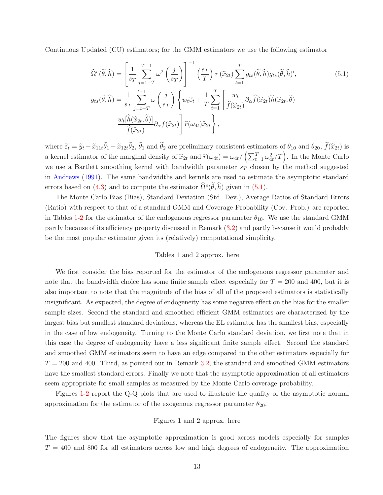Continuous Updated (CU) estimators; for the GMM estimators we use the following estimator

$$
\widehat{\Omega}^{e}(\widetilde{\theta},\widehat{h}) = \left[\frac{1}{s_{T}}\sum_{j=1-T}^{T-1} \omega^{2}\left(\frac{j}{s_{T}}\right)\right]^{-1} \left(\frac{s_{T}}{T}\right) \tau\left(\widehat{x}_{2t}\right) \sum_{t=1}^{T} g_{ts}(\widetilde{\theta},\widehat{h}) g_{ts}(\widetilde{\theta},\widehat{h})',
$$
\n
$$
g_{ts}(\widetilde{\theta},\widehat{h}) = \frac{1}{s_{T}}\sum_{j=t-T}^{t-1} \omega\left(\frac{j}{s_{T}}\right) \left\{w_{t}\widetilde{\varepsilon}_{t} + \frac{1}{T}\sum_{t=1}^{T} \left[\frac{w_{t}}{\widehat{f}(\widehat{x}_{2t})} \partial_{\alpha}\widehat{f}(\widehat{x}_{2t})\widehat{h}(\widehat{x}_{2t},\widetilde{\theta}) - \frac{w_{t}[\widehat{h}(\widehat{x}_{2t},\widetilde{\theta})]}{\widehat{f}(\widehat{x}_{2t})} \partial_{\alpha}f(\widehat{x}_{2t})\right] \widehat{r}(\omega_{4t}) \widehat{x}_{2t} \right\},
$$
\n(5.1)

where  $\tilde{\varepsilon}_t = \tilde{y}_t - \tilde{x}_{11t}\theta_1 - \tilde{x}_{12t}\theta_2$ ,  $\theta_1$  and  $\theta_2$  are preliminary consistent estimators of  $\theta_{10}$  and  $\theta_{20}$ ,  $f(\tilde{x}_{2t})$  is a kernel estimator of the marginal density of  $\hat{x}_{2t}$  and  $\hat{r}(\omega_{4t}) = \omega_{4t}/(\sum_{t=1}^{T} \omega_{4t}^2/T)$ . In the Monte Carlo we use a Bartlett smoothing kernel with bandwidth parameter  $s_T$  chosen by the method suggested in Andrews (1991). The same bandwidths and kernels are used to estimate the asymptotic standard errors based on (4.3) and to compute the estimator  $\widehat{\Omega}^e(\widehat{\theta}, \widehat{h})$  given in (5.1).

The Monte Carlo Bias (Bias), Standard Deviation (Std. Dev.), Average Ratios of Standard Errors (Ratio) with respect to that of a standard GMM and Coverage Probability (Cov. Prob.) are reported in Tables 1-2 for the estimator of the endogenous regressor parameter  $\theta_{10}$ . We use the standard GMM partly because of its efficiency property discussed in Remark (3.2) and partly because it would probably be the most popular estimator given its (relatively) computational simplicity.

#### Tables 1 and 2 approx. here

We first consider the bias reported for the estimator of the endogenous regressor parameter and note that the bandwidth choice has some finite sample effect especially for  $T = 200$  and 400, but it is also important to note that the magnitude of the bias of all of the proposed estimators is statistically insignificant. As expected, the degree of endogeneity has some negative effect on the bias for the smaller sample sizes. Second the standard and smoothed efficient GMM estimators are characterized by the largest bias but smallest standard deviations, whereas the EL estimator has the smallest bias, especially in the case of low endogeneity. Turning to the Monte Carlo standard deviation, we first note that in this case the degree of endogeneity have a less significant finite sample effect. Second the standard and smoothed GMM estimators seem to have an edge compared to the other estimators especially for  $T = 200$  and 400. Third, as pointed out in Remark 3.2, the standard and smoothed GMM estimators have the smallest standard errors. Finally we note that the asymptotic approximation of all estimators seem appropriate for small samples as measured by the Monte Carlo coverage probability.

Figures 1-2 report the Q-Q plots that are used to illustrate the quality of the asymptotic normal approximation for the estimator of the exogenous regressor parameter  $\theta_{20}$ .

#### Figures 1 and 2 approx. here

The figures show that the asymptotic approximation is good across models especially for samples  $T = 400$  and 800 for all estimators across low and high degrees of endogeneity. The approximation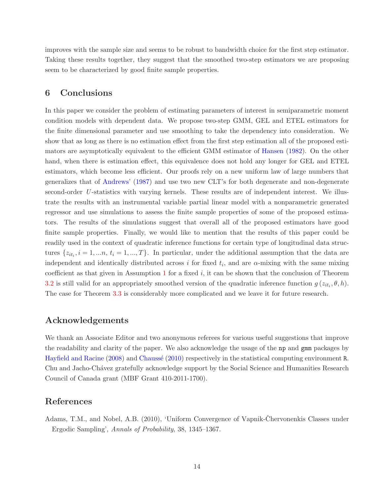improves with the sample size and seems to be robust to bandwidth choice for the first step estimator. Taking these results together, they suggest that the smoothed two-step estimators we are proposing seem to be characterized by good finite sample properties.

# 6 Conclusions

In this paper we consider the problem of estimating parameters of interest in semiparametric moment condition models with dependent data. We propose two-step GMM, GEL and ETEL estimators for the finite dimensional parameter and use smoothing to take the dependency into consideration. We show that as long as there is no estimation effect from the first step estimation all of the proposed estimators are asymptotically equivalent to the efficient GMM estimator of Hansen (1982). On the other hand, when there is estimation effect, this equivalence does not hold any longer for GEL and ETEL estimators, which become less efficient. Our proofs rely on a new uniform law of large numbers that generalizes that of Andrews' (1987) and use two new CLT's for both degenerate and non-degenerate second-order U-statistics with varying kernels. These results are of independent interest. We illustrate the results with an instrumental variable partial linear model with a nonparametric generated regressor and use simulations to assess the finite sample properties of some of the proposed estimators. The results of the simulations suggest that overall all of the proposed estimators have good finite sample properties. Finally, we would like to mention that the results of this paper could be readily used in the context of quadratic inference functions for certain type of longitudinal data structures  $\{z_{it_i}, i = 1, ..., n, t_i = 1, ..., T\}$ . In particular, under the additional assumption that the data are independent and identically distributed across i for fixed  $t_i$ , and are  $\alpha$ -mixing with the same mixing coefficient as that given in Assumption  $1$  for a fixed  $i$ , it can be shown that the conclusion of Theorem 3.2 is still valid for an appropriately smoothed version of the quadratic inference function  $g(z_{it_i}, \theta, h)$ . The case for Theorem 3.3 is considerably more complicated and we leave it for future research.

## Acknowledgements

We thank an Associate Editor and two anonymous referees for various useful suggestions that improve the readability and clarity of the paper. We also acknowledge the usage of the np and gmm packages by Hayfield and Racine (2008) and Chaussé (2010) respectively in the statistical computing environment R. Chu and Jacho-Ch´avez gratefully acknowledge support by the Social Science and Humanities Research Council of Canada grant (MBF Grant 410-2011-1700).

# References

Adams, T.M., and Nobel, A.B. (2010), 'Uniform Convergence of Vapnik-Chervonenkis Classes under Ergodic Sampling', Annals of Probability, 38, 1345–1367.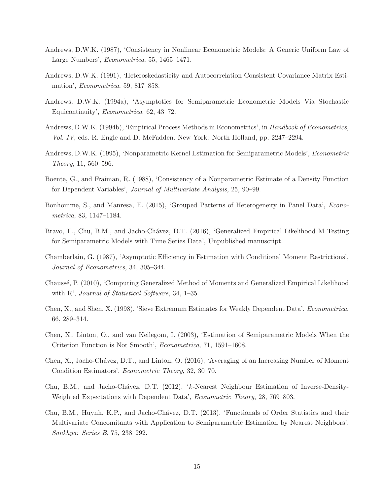- Andrews, D.W.K. (1987), 'Consistency in Nonlinear Econometric Models: A Generic Uniform Law of Large Numbers', Econometrica, 55, 1465–1471.
- Andrews, D.W.K. (1991), 'Heteroskedasticity and Autocorrelation Consistent Covariance Matrix Estimation', Econometrica, 59, 817–858.
- Andrews, D.W.K. (1994a), 'Asymptotics for Semiparametric Econometric Models Via Stochastic Equicontinuity', Econometrica, 62, 43–72.
- Andrews, D.W.K. (1994b), 'Empirical Process Methods in Econometrics', in Handbook of Econometrics, Vol. IV, eds. R. Engle and D. McFadden. New York: North Holland, pp. 2247–2294.
- Andrews, D.W.K. (1995), 'Nonparametric Kernel Estimation for Semiparametric Models', Econometric Theory, 11, 560–596.
- Boente, G., and Fraiman, R. (1988), 'Consistency of a Nonparametric Estimate of a Density Function for Dependent Variables', Journal of Multivariate Analysis, 25, 90–99.
- Bonhomme, S., and Manresa, E. (2015), 'Grouped Patterns of Heterogeneity in Panel Data', Econometrica, 83, 1147–1184.
- Bravo, F., Chu, B.M., and Jacho-Chávez, D.T. (2016), 'Generalized Empirical Likelihood M Testing for Semiparametric Models with Time Series Data', Unpublished manuscript.
- Chamberlain, G. (1987), 'Asymptotic Efficiency in Estimation with Conditional Moment Restrictions', Journal of Econometrics, 34, 305–344.
- Chauss´e, P. (2010), 'Computing Generalized Method of Moments and Generalized Empirical Likelihood with R', *Journal of Statistical Software*, 34, 1–35.
- Chen, X., and Shen, X. (1998), 'Sieve Extremum Estimates for Weakly Dependent Data', Econometrica, 66, 289–314.
- Chen, X., Linton, O., and van Keilegom, I. (2003), 'Estimation of Semiparametric Models When the Criterion Function is Not Smooth', Econometrica, 71, 1591–1608.
- Chen, X., Jacho-Chávez, D.T., and Linton, O. (2016), 'Averaging of an Increasing Number of Moment Condition Estimators', Econometric Theory, 32, 30–70.
- Chu, B.M., and Jacho-Chávez, D.T. (2012), 'k-Nearest Neighbour Estimation of Inverse-Density-Weighted Expectations with Dependent Data', Econometric Theory, 28, 769–803.
- Chu, B.M., Huynh, K.P., and Jacho-Chávez, D.T. (2013), 'Functionals of Order Statistics and their Multivariate Concomitants with Application to Semiparametric Estimation by Nearest Neighbors', Sankhya: Series B, 75, 238–292.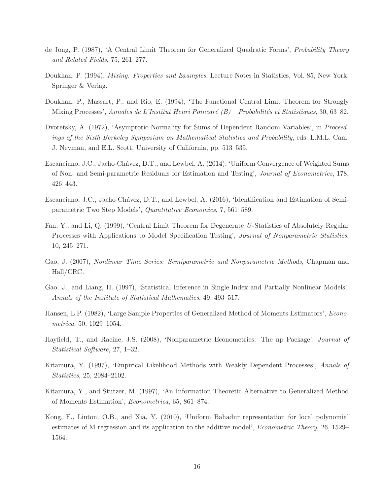- de Jong, P. (1987), 'A Central Limit Theorem for Generalized Quadratic Forms', Probability Theory and Related Fields, 75, 261–277.
- Doukhan, P. (1994), *Mixing: Properties and Examples*, Lecture Notes in Statistics, Vol. 85, New York: Springer & Verlag.
- Doukhan, P., Massart, P., and Rio, E. (1994), 'The Functional Central Limit Theorem for Strongly Mixing Processes', Annales de L'Institut Henri Poincaré  $(B)$  – Probabilités et Statistiques, 30, 63–82.
- Dvoretsky, A. (1972), 'Asymptotic Normality for Sums of Dependent Random Variables', in Proceedings of the Sixth Berkeley Symposium on Mathematical Statistics and Probability, eds. L.M.L. Cam, J. Neyman, and E.L. Scott. University of California, pp. 513–535.
- Escanciano, J.C., Jacho-Chávez, D.T., and Lewbel, A. (2014), 'Uniform Convergence of Weighted Sums of Non- and Semi-parametric Residuals for Estimation and Testing', Journal of Econometrics, 178, 426–443.
- Escanciano, J.C., Jacho-Chávez, D.T., and Lewbel, A. (2016), 'Identification and Estimation of Semiparametric Two Step Models', Quantitative Economics, 7, 561–589.
- Fan, Y., and Li, Q. (1999), 'Central Limit Theorem for Degenerate U -Statistics of Absolutely Regular Processes with Applications to Model Specification Testing', *Journal of Nonparametric Statistics*, 10, 245–271.
- Gao, J. (2007), Nonlinear Time Series: Semiparametric and Nonparametric Methods, Chapman and Hall/CRC.
- Gao, J., and Liang, H. (1997), 'Statistical Inference in Single-Index and Partially Nonlinear Models', Annals of the Institute of Statistical Mathematics, 49, 493–517.
- Hansen, L.P. (1982), 'Large Sample Properties of Generalized Method of Moments Estimators', Econometrica, 50, 1029–1054.
- Hayfield, T., and Racine, J.S. (2008), 'Nonparametric Econometrics: The np Package', Journal of Statistical Software, 27, 1–32.
- Kitamura, Y. (1997), 'Empirical Likelihood Methods with Weakly Dependent Processes', Annals of Statistics, 25, 2084–2102.
- Kitamura, Y., and Stutzer, M. (1997), 'An Information Theoretic Alternative to Generalized Method of Moments Estimation', Econometrica, 65, 861–874.
- Kong, E., Linton, O.B., and Xia, Y. (2010), 'Uniform Bahadur representation for local polynomial estimates of M-regression and its application to the additive model', Econometric Theory, 26, 1529– 1564.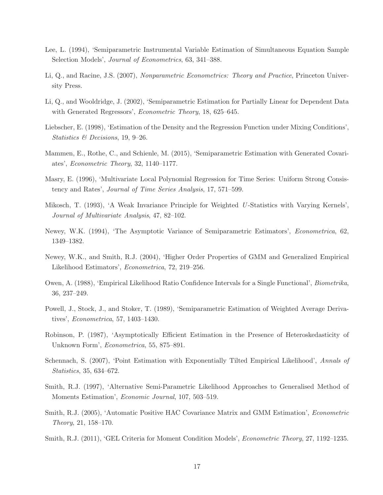- Lee, L. (1994), 'Semiparametric Instrumental Variable Estimation of Simultaneous Equation Sample Selection Models', Journal of Econometrics, 63, 341–388.
- Li, Q., and Racine, J.S. (2007), Nonparametric Econometrics: Theory and Practice, Princeton University Press.
- Li, Q., and Wooldridge, J. (2002), 'Semiparametric Estimation for Partially Linear for Dependent Data with Generated Regressors', *Econometric Theory*, 18, 625–645.
- Liebscher, E. (1998), 'Estimation of the Density and the Regression Function under Mixing Conditions', Statistics & Decisions, 19, 9–26.
- Mammen, E., Rothe, C., and Schienle, M. (2015), 'Semiparametric Estimation with Generated Covariates', Econometric Theory, 32, 1140–1177.
- Masry, E. (1996), 'Multivariate Local Polynomial Regression for Time Series: Uniform Strong Consistency and Rates', Journal of Time Series Analysis, 17, 571–599.
- Mikosch, T. (1993), 'A Weak Invariance Principle for Weighted U-Statistics with Varying Kernels', Journal of Multivariate Analysis, 47, 82–102.
- Newey, W.K. (1994), 'The Asymptotic Variance of Semiparametric Estimators', Econometrica, 62, 1349–1382.
- Newey, W.K., and Smith, R.J. (2004), 'Higher Order Properties of GMM and Generalized Empirical Likelihood Estimators', Econometrica, 72, 219–256.
- Owen, A. (1988), 'Empirical Likelihood Ratio Confidence Intervals for a Single Functional', Biometrika, 36, 237–249.
- Powell, J., Stock, J., and Stoker, T. (1989), 'Semiparametric Estimation of Weighted Average Derivatives', Econometrica, 57, 1403–1430.
- Robinson, P. (1987), 'Asymptotically Efficient Estimation in the Presence of Heteroskedasticity of Unknown Form', Econometrica, 55, 875–891.
- Schennach, S. (2007), 'Point Estimation with Exponentially Tilted Empirical Likelihood', Annals of Statistics, 35, 634–672.
- Smith, R.J. (1997), 'Alternative Semi-Parametric Likelihood Approaches to Generalised Method of Moments Estimation', Economic Journal, 107, 503–519.
- Smith, R.J. (2005), 'Automatic Positive HAC Covariance Matrix and GMM Estimation', Econometric Theory, 21, 158–170.
- Smith, R.J. (2011), 'GEL Criteria for Moment Condition Models', Econometric Theory, 27, 1192–1235.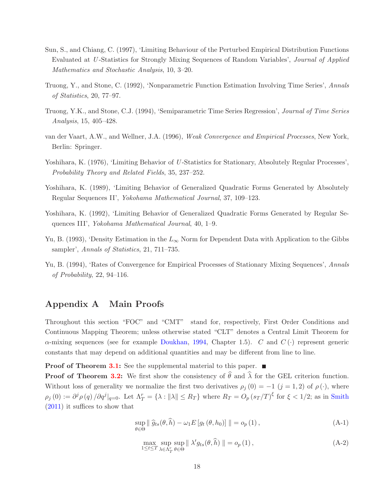- Sun, S., and Chiang, C. (1997), 'Limiting Behaviour of the Perturbed Empirical Distribution Functions Evaluated at U -Statistics for Strongly Mixing Sequences of Random Variables', Journal of Applied Mathematics and Stochastic Analysis, 10, 3–20.
- Truong, Y., and Stone, C. (1992), 'Nonparametric Function Estimation Involving Time Series', Annals of Statistics, 20, 77–97.
- Truong, Y.K., and Stone, C.J. (1994), 'Semiparametric Time Series Regression', Journal of Time Series Analysis, 15, 405–428.
- van der Vaart, A.W., and Wellner, J.A. (1996), Weak Convergence and Empirical Processes, New York, Berlin: Springer.
- Yoshihara, K. (1976), 'Limiting Behavior of U-Statistics for Stationary, Absolutely Regular Processes', Probability Theory and Related Fields, 35, 237–252.
- Yoshihara, K. (1989), 'Limiting Behavior of Generalized Quadratic Forms Generated by Absolutely Regular Sequences II', Yokohama Mathematical Journal, 37, 109–123.
- Yoshihara, K. (1992), 'Limiting Behavior of Generalized Quadratic Forms Generated by Regular Sequences III', Yokohama Mathematical Journal, 40, 1–9.
- Yu, B. (1993), 'Density Estimation in the  $L_{\infty}$  Norm for Dependent Data with Application to the Gibbs sampler', Annals of Statistics, 21, 711–735.
- Yu, B. (1994), 'Rates of Convergence for Empirical Processes of Stationary Mixing Sequences', Annals of Probability, 22, 94–116.

## Appendix A Main Proofs

Throughout this section "FOC" and "CMT" stand for, respectively, First Order Conditions and Continuous Mapping Theorem; unless otherwise stated "CLT" denotes a Central Limit Theorem for  $\alpha$ -mixing sequences (see for example Doukhan, 1994, Chapter 1.5). C and  $C(\cdot)$  represent generic constants that may depend on additional quantities and may be different from line to line.

Proof of Theorem 3.1: See the supplemental material to this paper. ■

**Proof of Theorem 3.2:** We first show the consistency of  $\widehat{\theta}$  and  $\widehat{\lambda}$  for the GEL criterion function. Without loss of generality we normalize the first two derivatives  $\rho_i(0) = -1$   $(j = 1, 2)$  of  $\rho(\cdot)$ , where  $\rho_j(0) := \partial^j \rho(q) / \partial q^j |_{q=0}$ . Let  $\Lambda_T^r = \{\lambda : ||\lambda|| \le R_T\}$  where  $R_T = O_p (s_T/T)^{\xi}$  for  $\xi < 1/2$ ; as in Smith (2011) it suffices to show that

$$
\sup_{\theta \in \Theta} \|\widehat{g}_{ts}(\theta, \widehat{h}) - \omega_1 E[g_t(\theta, h_0)]\| = o_p(1), \tag{A-1}
$$

$$
\max_{1 \le t \le T} \sup_{\lambda \in \Lambda_T^r} \sup_{\theta \in \Theta} \| \lambda' g_{ts}(\theta, \widehat{h}) \| = o_p(1), \tag{A-2}
$$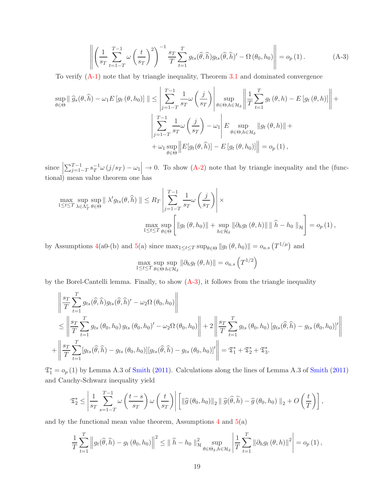$$
\left\| \left( \frac{1}{s_T} \sum_{t=1-T}^{T-1} \omega \left( \frac{t}{s_T} \right)^2 \right)^{-1} \frac{s_T}{T} \sum_{t=1}^T g_{ts}(\widehat{\theta}, \widehat{h}) g_{ts}(\widehat{\theta}, \widehat{h})' - \Omega \left( \theta_0, h_0 \right) \right\| = o_p(1).
$$
 (A-3)

To verify (A-1) note that by triangle inequality, Theorem 3.1 and dominated convergence

$$
\sup_{\theta \in \Theta} \|\widehat{g}_{s}(\theta,\widehat{h}) - \omega_{1}E[g_{t}(\theta,h_{0})] \| \leq \left| \sum_{j=1-T}^{T-1} \frac{1}{s_{T}} \omega\left(\frac{j}{s_{T}}\right) \right| \sup_{\theta \in \Theta, h \in \mathcal{H}_{\delta}} \left\| \frac{1}{T} \sum_{t=1}^{T} g_{t}(\theta,h) - E[g_{t}(\theta,h)] \right\| +
$$
  

$$
\left| \sum_{j=1-T}^{T-1} \frac{1}{s_{T}} \omega\left(\frac{j}{s_{T}}\right) - \omega_{1} \right| E \sup_{\theta \in \Theta, h \in \mathcal{H}_{\delta}} \|g_{t}(\theta,h)\| +
$$
  

$$
+ \omega_{1} \sup_{\theta \in \Theta} \left\| E[g_{t}(\theta,\widehat{h})] - E[g_{t}(\theta,h_{0})] \right\| = o_{p}(1),
$$

 $\text{since } \left| \right.$  $\sum_{j=1-T}^{T-1} s_T^{-1}$  $T^{-1}\omega(j/s_T) - \omega_1$   $\rightarrow$  0. To show (A-2) note that by triangle inequality and the (functional) mean value theorem one has

$$
\max_{1 \leq t \leq T} \sup_{\lambda \in \Lambda_T^r} \sup_{\theta \in \Theta} \|\lambda' g_{ts}(\theta, \hat{h})\| \leq R_T \left\| \sum_{j=1-T}^{T-1} \frac{1}{s_T} \omega\left(\frac{j}{s_T}\right) \right\| \times \max_{1 \leq t \leq T} \sup_{\theta \in \Theta} \left[ \|g_t(\theta, h_0)\| + \sup_{h \in \mathcal{H}_{\delta}} \|\partial_h g_t(\theta, h)\| \|\hat{h} - h_0\|_{\mathcal{H}} \right] = o_p(1),
$$

by Assumptions 4(a0-(b) and 5(a) since  $\max_{1 \leq t \leq T} \sup_{\theta \in \Theta} ||g_t(\theta, h_0)|| = o_{a.s.}(T^{1/\mu})$  and

$$
\max_{1 \leq t \leq T} \sup_{\theta \in \Theta} \sup_{h \in \mathcal{H}_{\delta}} \|\partial_h g_t(\theta, h)\| = o_{a.s}\left(T^{1/2}\right)
$$

by the Borel-Cantelli lemma. Finally, to show  $(A-3)$ , it follows from the triangle inequality

$$
\left\| \frac{s_T}{T} \sum_{t=1}^T g_{ts}(\widehat{\theta}, \widehat{h}) g_{ts}(\widehat{\theta}, \widehat{h})' - \omega_2 \Omega(\theta_0, h_0) \right\|
$$
  
\n
$$
\leq \left\| \frac{s_T}{T} \sum_{t=1}^T g_{ts}(\theta_0, h_0) g_{ts}(\theta_0, h_0)' - \omega_2 \Omega(\theta_0, h_0) \right\| + 2 \left\| \frac{s_T}{T} \sum_{t=1}^T g_{ts}(\theta_0, h_0) \left[ g_{ts}(\widehat{\theta}, \widehat{h}) - g_{ts}(\theta_0, h_0) \right]'\right\|
$$
  
\n
$$
+ \left\| \frac{s_T}{T} \sum_{t=1}^T [g_{ts}(\widehat{\theta}, \widehat{h}) - g_{ts}(\theta_0, h_0)] [g_{ts}(\widehat{\theta}, \widehat{h}) - g_{ts}(\theta_0, h_0)]' \right\| = \mathfrak{T}_1^* + \mathfrak{T}_2^* + \mathfrak{T}_3^*.
$$

 $\mathfrak{T}_1^* = o_p(1)$  by Lemma A.3 of Smith (2011). Calculations along the lines of Lemma A.3 of Smith (2011) and Cauchy-Schwarz inequality yield

$$
\mathfrak{T}_2^* \le \left| \frac{1}{s_T} \sum_{s=1-T}^{T-1} \omega\left(\frac{t-s}{s_T}\right) \omega\left(\frac{t}{s_T}\right) \right| \left[ \left\| \widehat{g}\left(\theta_0, h_0\right) \right\|_2 \left\| \widehat{g}(\widehat{\theta}, \widehat{h}) - \widehat{g}\left(\theta_0, h_0\right) \right\|_2 + O\left(\frac{t}{T}\right) \right],
$$

and by the functional mean value theorem, Assumptions  $4$  and  $5(a)$ 

$$
\frac{1}{T} \sum_{t=1}^{T} \left\| g_t(\widehat{\theta}, \widehat{h}) - g_t(\theta_0, h_0) \right\|^2 \leq \|\widehat{h} - h_0\|_{\mathcal{H}}^2 \sup_{\theta \in \Theta_{\delta}, h \in \mathcal{H}_{\delta}} \left| \frac{1}{T} \sum_{t=1}^{T} \|\partial_h g_t(\theta, h)\|^2 \right| = o_p(1),
$$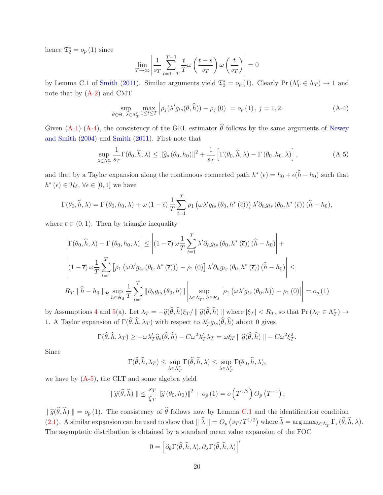hence  $\mathfrak{T}_2^* = o_p(1)$  since

$$
\lim_{T \to \infty} \left| \frac{1}{s_T} \sum_{t=1-T}^{T-1} \frac{t}{T} \omega \left( \frac{t-s}{s_T} \right) \omega \left( \frac{t}{s_T} \right) \right| = 0
$$

by Lemma C.1 of Smith (2011). Similar arguments yield  $\mathfrak{T}_3^* = o_p(1)$ . Clearly Pr  $(\Lambda_T^r \in \Lambda_T) \to 1$  and note that by  $(A-2)$  and CMT

$$
\sup_{\theta \in \Theta, \ \lambda \in \Lambda_T^r} \max_{1 \le t \le T} \left| \rho_j(\lambda' g_{ts}(\theta, \hat{h})) - \rho_j(0) \right| = o_p(1), \ j = 1, 2. \tag{A-4}
$$

Given (A-1)-(A-4), the consistency of the GEL estimator  $\hat{\theta}$  follows by the same arguments of Newey and Smith (2004) and Smith (2011). First note that

$$
\sup_{\lambda \in \Lambda_T^r} \frac{1}{s_T} \Gamma(\theta_0, \widehat{h}, \lambda) \le ||\widehat{g}_s(\theta_0, h_0)||^2 + \frac{1}{s_T} \left[ \Gamma(\theta_0, \widehat{h}, \lambda) - \Gamma(\theta_0, h_0, \lambda) \right],
$$
\n(A-5)

and that by a Taylor expansion along the continuous connected path  $h^*(\epsilon) = h_0 + \epsilon(\hat{h} - h_0)$  such that  $h^*(\epsilon) \in \mathcal{H}_\delta, \, \forall \epsilon \in [0,1]$  we have

$$
\Gamma(\theta_0, \hat{h}, \lambda) = \Gamma(\theta_0, h_0, \lambda) + \omega (1 - \overline{\epsilon}) \frac{1}{T} \sum_{t=1}^T \rho_1 \left( \omega \lambda' g_{ts} \left( \theta_0, h^*(\overline{\epsilon}) \right) \right) \lambda' \partial_h g_{ts} \left( \theta_0, h^*(\overline{\epsilon}) \right) (\hat{h} - h_0),
$$

where  $\bar{\epsilon} \in (0, 1)$ . Then by triangle inequality

$$
\left| \Gamma(\theta_0, \hat{h}, \lambda) - \Gamma(\theta_0, h_0, \lambda) \right| \leq \left| (1 - \overline{\epsilon}) \omega \frac{1}{T} \sum_{t=1}^T \lambda' \partial_h g_{ts} \left( \theta_0, h^*(\overline{\epsilon}) \right) (\hat{h} - h_0) \right| +
$$
  

$$
\left| (1 - \overline{\epsilon}) \omega \frac{1}{T} \sum_{t=1}^T \left[ \rho_1 \left( \omega \lambda' g_{ts} \left( \theta_0, h^*(\overline{\epsilon}) \right) \right) - \rho_1(0) \right] \lambda' \partial_h g_{ts} \left( \theta_0, h^*(\overline{\epsilon}) \right) (\hat{h} - h_0) \right| \leq
$$
  

$$
R_T \parallel \hat{h} - h_0 \parallel_{\mathcal{H}} \sup_{h \in \mathcal{H}_{\delta}} \frac{1}{T} \sum_{t=1}^T \left\| \partial_h g_{ts} \left( \theta_0, h \right) \right\| \left| \sup_{\lambda \in \Lambda_T^r, h \in \mathcal{H}_{\delta}} \left| \rho_1 \left( \omega \lambda' g_{ts} \left( \theta_0, h \right) \right) - \rho_1(0) \right| \right| = o_p(1)
$$

by Assumptions 4 and 5(a). Let  $\lambda_T = -\widehat{g}(\widehat{\theta}, \widehat{h})\xi_T / || \widehat{g}(\widehat{\theta}, \widehat{h}) ||$  where  $|\xi_T| < R_T$ , so that  $\Pr(\lambda_T \in \Lambda_T^r) \to$ 1. A Taylor expansion of  $\Gamma(\hat{\theta}, \hat{h}, \lambda_T)$  with respect to  $\lambda'_T g_{ts}(\hat{\theta}, \hat{h})$  about 0 gives

$$
\Gamma(\widehat{\theta},\widehat{h},\lambda_T) \geq -\omega \lambda'_T \widehat{g}_s(\widehat{\theta},\widehat{h}) - C \omega^2 \lambda'_T \lambda_T = \omega \xi_T \parallel \widehat{g}(\widehat{\theta},\widehat{h}) \parallel -C \omega^2 \xi_T^2.
$$

Since

$$
\Gamma(\widehat{\theta}, \widehat{h}, \lambda_T) \leq \sup_{\lambda \in \Lambda_T^r} \Gamma(\widehat{\theta}, \widehat{h}, \lambda) \leq \sup_{\lambda \in \Lambda_T^r} \Gamma(\theta_0, \widehat{h}, \lambda),
$$

we have by (A-5), the CLT and some algebra yield

$$
\|\widehat{g}(\widehat{\theta},\widehat{h})\| \leq \frac{s_T}{\xi_T} \|\widehat{g}(\theta_0,h_0)\|^2 + o_p(1) = o\left(T^{1/2}\right) O_p(T^{-1}),
$$

 $\|\widehat{g}(\widehat{\theta},\widehat{h})\| = o_p(1)$ . The consistency of  $\widehat{\theta}$  follows now by Lemma C.1 and the identification condition (2.1). A similar expansion can be used to show that  $\|\hat{\lambda}\| = O_p(s_T/T^{1/2})$  where  $\hat{\lambda} = \arg \max_{\lambda \in \Lambda_T^r} \Gamma_\tau(\hat{\theta}, \hat{h}, \lambda)$ . The asymptotic distribution is obtained by a standard mean value expansion of the FOC

$$
0 = \left[ \partial_{\theta} \Gamma(\widehat{\theta}, \widehat{h}, \lambda), \partial_{\lambda} \Gamma(\widehat{\theta}, \widehat{h}, \lambda) \right]'
$$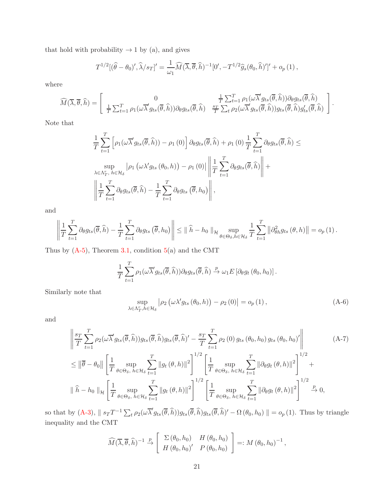that hold with probability  $\rightarrow 1$  by (a), and gives

$$
T^{1/2}[(\widehat{\theta}-\theta_0)',\widehat{\lambda}/s_T]'=\frac{1}{\omega_1}\widehat{M}(\overline{\lambda},\overline{\theta},\widehat{h})^{-1}[0',-T^{1/2}\widehat{g}_s(\theta_0,\widehat{h})']'+o_p(1),
$$

where

$$
\widehat{M}(\overline{\lambda},\overline{\theta},\widehat{h}) = \begin{bmatrix} 0 & \frac{1}{T} \sum_{t=1}^{T} \rho_1(\omega \overline{\lambda}' g_{ts}(\overline{\theta},\widehat{h})) \partial_{\theta} g_{ts}(\overline{\theta},\widehat{h}) \\ \frac{1}{T} \sum_{t=1}^{T} \rho_1(\omega \overline{\lambda}' g_{ts}(\overline{\theta},\widehat{h})) \partial_{\theta} g_{ts}(\overline{\theta},\widehat{h}) & \frac{s_T}{T} \sum_{t} \rho_2(\omega \overline{\lambda}' g_{ts}(\overline{\theta},\widehat{h})) g_{ts}(\overline{\theta},\widehat{h}) g_{ts}'(\overline{\theta},\widehat{h}) \end{bmatrix}.
$$

Note that

$$
\frac{1}{T} \sum_{t=1}^{T} \left[ \rho_1(\omega \overline{\lambda}' g_{ts}(\overline{\theta}, \widehat{h})) - \rho_1(0) \right] \partial_{\theta} g_{ts}(\overline{\theta}, \widehat{h}) + \rho_1(0) \frac{1}{T} \sum_{t=1}^{T} \partial_{\theta} g_{ts}(\overline{\theta}, \widehat{h}) \le
$$
  
\n
$$
\sup_{\lambda \in \Lambda_T^r, h \in \mathcal{H}_{\delta}} \left| \rho_1 \left( \omega \lambda' g_{ts}(\theta_0, h) \right) - \rho_1(0) \right| \left\| \frac{1}{T} \sum_{t=1}^{T} \partial_{\theta} g_{ts}(\overline{\theta}, \widehat{h}) \right\| +
$$
  
\n
$$
\left\| \frac{1}{T} \sum_{t=1}^{T} \partial_{\theta} g_{ts}(\overline{\theta}, \widehat{h}) - \frac{1}{T} \sum_{t=1}^{T} \partial_{\theta} g_{ts}(\overline{\theta}, h_0) \right\|,
$$

and

$$
\left\|\frac{1}{T}\sum_{t=1}^T \partial_{\theta} g_{ts}(\overline{\theta}, \widehat{h}) - \frac{1}{T}\sum_{t=1}^T \partial_{\theta} g_{ts}(\overline{\theta}, h_0)\right\| \leq \|\widehat{h} - h_0\|_{\mathcal{H}} \sup_{\theta \in \Theta_{\delta}, h \in \mathcal{H}_{\delta}} \frac{1}{T}\sum_{t=1}^T \left\|\partial_{\theta h}^2 g_{ts}(\theta, h)\right\| = o_p(1).
$$

Thus by  $(A-5)$ , Theorem 3.1, condition  $5(a)$  and the CMT

$$
\frac{1}{T} \sum_{t=1}^T \rho_1(\omega \overline{\lambda}' g_{ts}(\overline{\theta}, \widehat{h})) \partial_\theta g_{ts}(\overline{\theta}, \widehat{h}) \xrightarrow{p} \omega_1 E \left[ \partial_\theta g_{t}(\theta_0, h_0) \right].
$$

Similarly note that

$$
\sup_{\lambda \in \Lambda_T^r, h \in \mathcal{H}_\delta} \left| \rho_2 \left( \omega \lambda' g_{ts} \left( \theta_0, h \right) \right) - \rho_2 \left( 0 \right) \right| = o_p \left( 1 \right), \tag{A-6}
$$

and

$$
\left\| \frac{s_T}{T} \sum_{t=1}^T \rho_2(\omega \overline{\lambda}' g_{ts}(\overline{\theta}, \widehat{h})) g_{ts}(\overline{\theta}, \widehat{h}) g_{ts}(\overline{\theta}, \widehat{h})' - \frac{s_T}{T} \sum_{t=1}^T \rho_2(0) g_{ts}(\theta_0, h_0) g_{ts}(\theta_0, h_0)' \right\|
$$
\n
$$
\leq \left\| \overline{\theta} - \theta_0 \right\| \left[ \frac{1}{T} \sup_{\theta \in \Theta_{\delta}, h \in \mathcal{H}_{\delta}} \sum_{t=1}^T \left\| g_t(\theta, h) \right\|^2 \right]^{1/2} \left[ \frac{1}{T} \sup_{\theta \in \Theta_{\delta}, h \in \mathcal{H}_{\delta}} \sum_{t=1}^T \left\| \partial_{\theta} g_t(\theta, h) \right\|^2 \right]^{1/2} +
$$
\n
$$
\left\| \widehat{h} - h_0 \right\|_{\mathcal{H}} \left[ \frac{1}{T} \sup_{\theta \in \Theta_{\delta}, h \in \mathcal{H}_{\delta}} \sum_{t=1}^T \left\| g_t(\theta, h) \right\|^2 \right]^{1/2} \left[ \frac{1}{T} \sup_{\theta \in \Theta_{\delta}, h \in \mathcal{H}_{\delta}} \sum_{t=1}^T \left\| \partial_{\theta} g_t(\theta, h) \right\|^2 \right]^{1/2} \xrightarrow{\rho} 0,
$$
\n(A-7)

so that by  $(A-3)$ ,  $|| s_T T^{-1} \sum_t \rho_2(\omega \overline{\lambda}' g_{ts}(\overline{\theta}, \widehat{h})) g_{ts}(\overline{\theta}, \widehat{h}) g_{ts}(\overline{\theta}, \widehat{h})' - \Omega(\theta_0, h_0) || = o_p(1)$ . Thus by triangle inequality and the CMT

$$
\widehat{M}(\overline{\lambda},\overline{\theta},\widehat{h})^{-1} \stackrel{p}{\rightarrow} \left[ \begin{array}{cc} \Sigma(\theta_0,h_0) & H(\theta_0,h_0) \\ H(\theta_0,h_0)' & P(\theta_0,h_0) \end{array} \right] =: M(\theta_0,h_0)^{-1},
$$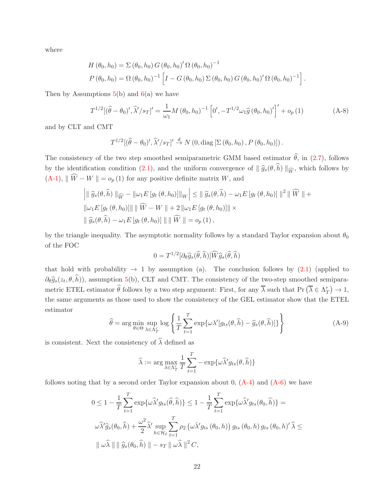where

$$
H(\theta_0, h_0) = \Sigma (\theta_0, h_0) G(\theta_0, h_0)' \Omega (\theta_0, h_0)^{-1}
$$
  
\n
$$
P(\theta_0, h_0) = \Omega (\theta_0, h_0)^{-1} \left[ I - G(\theta_0, h_0) \Sigma (\theta_0, h_0) G(\theta_0, h_0)' \Omega (\theta_0, h_0)^{-1} \right].
$$

Then by Assumptions  $5(b)$  and  $6(a)$  we have

$$
T^{1/2}[(\hat{\theta} - \theta_0)', \hat{\lambda}'/s_T]' = \frac{1}{\omega_1} M (\theta_0, h_0)^{-1} \left[0', -T^{1/2} \omega_1 \hat{g} (\theta_0, h_0)'\right]' + o_p(1)
$$
 (A-8)

and by CLT and CMT

$$
T^{1/2}[(\widehat{\theta}-\theta_0)',\widehat{\lambda}'/s_T]'\stackrel{d}{\to} N(0,\text{diag}\left[\Sigma(\theta_0,h_0),P(\theta_0,h_0)\right]).
$$

The consistency of the two step smoothed semiparametric GMM based estimator  $\hat{\theta}$ , in (2.7), follows by the identification condition (2.1), and the uniform convergence of  $\|\hat{g}_s(\theta, \hat{h})\|_{\widehat{W}}$ , which follows by  $(A-1), \| \widehat{W} - W \| = o_p(1)$  for any positive definite matrix W, and

$$
\left| \|\widehat{g}_s(\theta,\widehat{h})\|_{\widehat{W}} - \|\omega_1 E[g_t(\theta,h_0)]\|_{W} \right| \leq \|\widehat{g}_s(\theta,\widehat{h}) - \omega_1 E[g_t(\theta,h_0)]\|^2 \|\widehat{W}\| +
$$
  

$$
\|\omega_1 E[g_t(\theta,h_0)]\| \|\widehat{W} - W\| + 2 \|\omega_1 E[g_t(\theta,h_0)]\| \times
$$
  

$$
\|\widehat{g}_s(\theta,\widehat{h}) - \omega_1 E[g_t(\theta,h_0)]\| \|\widehat{W}\| = o_p(1),
$$

by the triangle inequality. The asymptotic normality follows by a standard Taylor expansion about  $\theta_0$ of the FOC

$$
0 = T^{1/2} [\partial_{\theta} \widehat{g}_s(\widehat{\theta}, \widehat{h})] \widehat{W} \widehat{g}_s(\widehat{\theta}, \widehat{h})
$$

that hold with probability  $\rightarrow$  1 by assumption (a). The conclusion follows by (2.1) (applied to  $\partial_{\theta} \hat{g}_{s}(z_t, \theta, h)$ , assumption 5(b), CLT and CMT. The consistency of the two-step smoothed semiparametric ETEL estimator  $\widehat{\theta}$  follows by a two step argument: First, for any  $\overline{\lambda}$  such that Pr  $(\overline{\lambda} \in \Lambda_T^r) \to 1$ , the same arguments as those used to show the consistency of the GEL estimator show that the ETEL estimator

$$
\widehat{\theta} = \arg\min_{\theta \in \Theta} \sup_{\lambda \in \Lambda_T^r} \log \left\{ \frac{1}{T} \sum_{t=1}^T \exp\{\omega \lambda' [g_{ts}(\theta, \widehat{h}) - \widehat{g}_s(\theta, \widehat{h})] \} \right\}
$$
(A-9)

is consistent. Next the consistency of  $\widehat{\lambda}$  defined as

$$
\widehat{\lambda} := \arg \max_{\lambda \in \Lambda_T^r} \frac{1}{T} \sum_{t=1}^T -\exp{\{\omega \widehat{\lambda}' g_{ts}(\theta, \widehat{h})\}}
$$

follows noting that by a second order Taylor expansion about 0,  $(A-4)$  and  $(A-6)$  we have

$$
0 \le 1 - \frac{1}{T} \sum_{t=1}^{T} \exp{\{\omega \hat{\lambda}' g_{ts}(\hat{\theta}, \hat{h})\}} \le 1 - \frac{1}{T} \sum_{t=1}^{T} \exp{\{\omega \hat{\lambda}' g_{ts}(\theta_0, \hat{h})\}} =
$$
  

$$
\omega \hat{\lambda}' \hat{g}_s(\theta_0, \hat{h}) + \frac{\omega^2}{2} \hat{\lambda}' \sup_{h \in \mathcal{H}_{\delta}} \sum_{t=1}^{T} \rho_2(\omega \hat{\lambda}' g_{ts}(\theta_0, h)) g_{ts}(\theta_0, h) g_{ts}(\theta_0, h)'\hat{\lambda} \le
$$
  

$$
\|\omega \hat{\lambda}\| \|\hat{g}_s(\theta_0, \hat{h})\| - s_T \|\omega \hat{\lambda}\|^2 C,
$$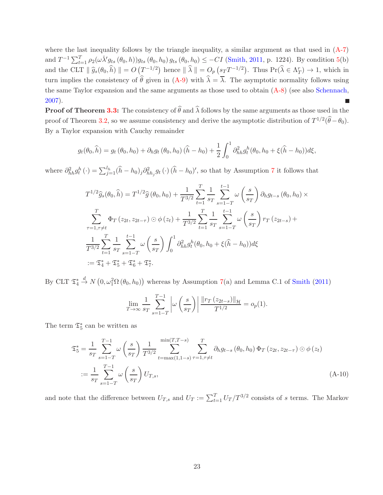where the last inequality follows by the triangle inequality, a similar argument as that used in  $(A-7)$ and  $T^{-1} \sum_{t=1}^{T} \rho_2(\omega \lambda' g_{ts}(\theta_0, h)) g_{ts}(\theta_0, h_0) g_{ts}(\theta_0, h_0) \leq -C I$  (Smith, 2011, p. 1224). By condition 5(b) and the CLT  $\|\hat{g}_s(\theta_0, \hat{h})\| = O\left(T^{-1/2}\right)$  hence  $\|\hat{\lambda}\| = O_p\left(s_T T^{-1/2}\right)$ . Thus  $\Pr(\hat{\lambda} \in \Lambda_T^r) \to 1$ , which in turn implies the consistency of  $\hat{\theta}$  given in (A-9) with  $\hat{\lambda} = \overline{\lambda}$ . The asymptotic normality follows using the same Taylor expansion and the same arguments as those used to obtain (A-8) (see also Schennach, 2007).

**Proof of Theorem 3.3:** The consistency of  $\widehat{\theta}$  and  $\widehat{\lambda}$  follows by the same arguments as those used in the proof of Theorem 3.2, so we assume consistency and derive the asymptotic distribution of  $T^{1/2}(\hat{\theta}-\theta_0)$ . By a Taylor expansion with Cauchy remainder

$$
g_t(\theta_0, \hat{h}) = g_t(\theta_0, h_0) + \partial_h g_t(\theta_0, h_0) (\hat{h} - h_0) + \frac{1}{2} \int_0^1 \partial_{hh}^2 g_t^h(\theta_0, h_0 + \xi(\hat{h} - h_0)) d\xi,
$$

where  $\partial_{hh}^2 g_t^h(\cdot) = \sum_{j=1}^{l_h} (\hat{h} - h_0)_j \partial_{hh_j}^2 g_t(\cdot) (\hat{h} - h_0)'$ , so that by Assumption 7 it follows that

$$
T^{1/2}\hat{g}_s(\theta_0, \hat{h}) = T^{1/2}\hat{g}(\theta_0, h_0) + \frac{1}{T^{3/2}} \sum_{t=1}^T \frac{1}{s_T} \sum_{s=1-T}^{t-1} \omega\left(\frac{s}{s_T}\right) \partial_h g_{t-s}(\theta_0, h_0) \times
$$
  

$$
\sum_{\tau=1, \tau \neq t}^T \Phi_T(z_{2t}, z_{2t-\tau}) \odot \phi(z_t) + \frac{1}{T^{3/2}} \sum_{t=1}^T \frac{1}{s_T} \sum_{s=1-T}^{t-1} \omega\left(\frac{s}{s_T}\right) r_T(z_{2t-s}) +
$$
  

$$
\frac{1}{T^{3/2}} \sum_{t=1}^T \frac{1}{s_T} \sum_{s=1-T}^{t-1} \omega\left(\frac{s}{s_T}\right) \int_0^1 \partial_{hh}^2 g_t^h(\theta_0, h_0 + \xi(\hat{h} - h_0)) d\xi
$$
  

$$
:= \mathfrak{T}_4^* + \mathfrak{T}_5^* + \mathfrak{T}_6^* + \mathfrak{T}_7^*.
$$

By CLT  $\mathfrak{T}^*_4$  $\stackrel{d}{\rightarrow} N(0,\omega_1^2\Omega(\theta_0,h_0))$  whereas by Assumption 7(a) and Lemma C.1 of Smith (2011)

$$
\lim_{T \to \infty} \frac{1}{s_T} \sum_{s=1-T}^{T-1} \left| \omega \left( \frac{s}{s_T} \right) \right| \frac{\| r_T \left( z_{2t-s} \right) \|_{\mathcal{H}}}{T^{1/2}} = o_p(1).
$$

The term  $\mathfrak{T}^*_5$  can be written as

$$
\mathfrak{T}_{5}^{*} = \frac{1}{s_{T}} \sum_{s=1-T}^{T-1} \omega \left(\frac{s}{s_{T}}\right) \frac{1}{T^{3/2}} \sum_{t=\max(1,1-s)}^{\min(T,T-s)} \sum_{\tau=1,\tau \neq t}^{T} \partial_{h} g_{t-s} \left(\theta_{0}, h_{0}\right) \Phi_{T} \left(z_{2t}, z_{2t-\tau}\right) \odot \phi \left(z_{t}\right)
$$
\n
$$
:= \frac{1}{s_{T}} \sum_{s=1-T}^{T-1} \omega \left(\frac{s}{s_{T}}\right) U_{T,s}, \tag{A-10}
$$

and note that the difference between  $U_{T,s}$  and  $U_T := \sum_{t=1}^T U_T / T^{3/2}$  consists of s terms. The Markov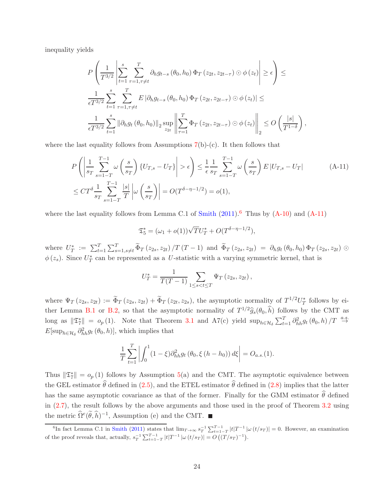inequality yields

$$
P\left(\frac{1}{T^{3/2}}\left|\sum_{t=1}^{s}\sum_{\tau=1,\tau\neq t}^{T}\partial_{h}g_{t-s}\left(\theta_{0},h_{0}\right)\Phi_{T}\left(z_{2t},z_{2t-\tau}\right)\odot\phi\left(z_{t}\right)\right| \geq \epsilon\right) \leq
$$
  

$$
\frac{1}{\epsilon T^{3/2}}\sum_{t=1}^{s}\sum_{\tau=1,\tau\neq t}^{T}E\left|\partial_{h}g_{t-s}\left(\theta_{0},h_{0}\right)\Phi_{T}\left(z_{2t},z_{2t-\tau}\right)\odot\phi\left(z_{t}\right)\right| \leq
$$
  

$$
\frac{1}{\epsilon T^{3/2}}\sum_{t=1}^{s}\left\|\partial_{h}g_{t}\left(\theta_{0},h_{0}\right)\right\|_{2}\sup_{z_{2t}}\left\|\sum_{\tau=1}^{T}\Phi_{T}\left(z_{2t},z_{2t-\tau}\right)\odot\phi\left(z_{t}\right)\right\|_{2} \leq O\left(\frac{|s|}{T^{1-\delta}}\right),
$$

where the last equality follows from Assumptions  $7(b)-(c)$ . It then follows that

$$
P\left(\left|\frac{1}{s_T}\sum_{s=1-T}^{T-1}\omega\left(\frac{s}{s_T}\right)\{U_{T,s}-U_T\}\right|>\epsilon\right) \le \frac{1}{\epsilon}\frac{1}{s_T}\sum_{s=1-T}^{T-1}\omega\left(\frac{s}{s_T}\right)E\left|U_{T,s}-U_T\right|
$$
\n
$$
\le CT^{\delta}\frac{1}{s_T}\sum_{s=1-T}^{T-1}\frac{|s|}{T}\left|\omega\left(\frac{s}{s_T}\right)\right| = O(T^{\delta-\eta-1/2}) = o(1),\tag{A-11}
$$

where the last equality follows from Lemma C.1 of  $Smith (2011).<sup>6</sup>$  Thus by  $(A-10)$  and  $(A-11)$ 

$$
\mathfrak{T}_5^* = (\omega_1 + o(1))\sqrt{T}U_T^* + O(T^{\delta - \eta - 1/2}),
$$

where  $U_T^* := \sum_{t=1}^T \sum_{s=1, s \neq t}^T \tilde{\Phi}_T(z_{2s}, z_{2t}) / T(T-1)$  and  $\tilde{\Phi}_T(z_{2s}, z_{2t}) = \partial_h g_t(\theta_0, h_0) \Phi_T(z_{2s}, z_{2t}) \odot$  $\phi(z_s)$ . Since  $U_T^*$  can be represented as a U-statistic with a varying symmetric kernel, that is

$$
U_T^* = \frac{1}{T(T-1)} \sum_{1 \le s < t \le T} \Psi_T(z_{2s}, z_{2t}),
$$

where  $\Psi_T(z_2, z_2) := \Phi_T(z_2, z_2) + \Phi_T(z_2, z_2)$ , the asymptotic normality of  $T^{1/2}U_T^*$  follows by either Lemma B.1 or B.2, so that the asymptotic normality of  $T^{1/2}\hat{g}_s(\theta_0, \hat{h})$  follows by the CMT as long as  $\|\mathfrak{T}_7^*\| = o_p(1)$ . Note that Theorem 3.1 and A7(c) yield  $\sup_{h \in \mathcal{H}_\delta} \sum_{t=1}^T \partial_{hh}^2 g_t(\theta_0, h) / T \stackrel{a.s.}{\rightarrow}$  $E[\sup_{h \in \mathcal{H}_{\delta}} \partial_{hh}^2 g_t(\theta_0, h)],$  which implies that

$$
\frac{1}{T} \sum_{t=1}^{T} \left| \int_{0}^{1} (1 - \xi) \partial_{hh}^{2} g_{t} \left( \theta_{0}, \xi \left( h - h_{0} \right) \right) d\xi \right| = O_{a.s.}(1).
$$

Thus  $\|\mathfrak{T}_{7}^*\| = o_p(1)$  follows by Assumption 5(a) and the CMT. The asymptotic equivalence between the GEL estimator  $\hat{\theta}$  defined in (2.5), and the ETEL estimator  $\hat{\theta}$  defined in (2.8) implies that the latter has the same asymptotic covariance as that of the former. Finally for the GMM estimator  $\hat{\theta}$  defined in (2.7), the result follows by the above arguments and those used in the proof of Theorem 3.2 using the metric  $\Omega^e(\hat{\theta}, \hat{h})^{-1}$ , Assumption (e) and the CMT.

<sup>&</sup>lt;sup>6</sup>In fact Lemma C.1 in Smith (2011) states that  $\lim_{T\to\infty} s_T^{-1} \sum_{t=1-T}^{T-1} |t| T^{-1} |\omega(t/s_T)| = 0$ . However, an examination of the proof reveals that, actually,  $s_T^{-1} \sum_{t=1-T}^{T-1} |t| T^{-1} |\omega(t/s_T)| = O((T/s_T)^{-1}).$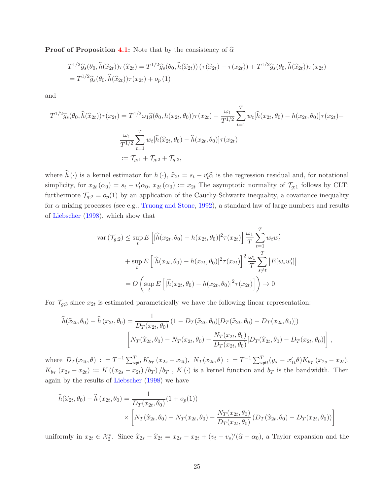**Proof of Proposition 4.1:** Note that by the consistency of  $\hat{\alpha}$ 

$$
T^{1/2}\hat{g}_s(\theta_0, \hat{h}(\hat{x}_{2t}))\tau(\hat{x}_{2t}) = T^{1/2}\hat{g}_s(\theta_0, \hat{h}(\hat{x}_{2t})) (\tau(\hat{x}_{2t}) - \tau(x_{2t})) + T^{1/2}\hat{g}_s(\theta_0, \hat{h}(\hat{x}_{2t}))\tau(x_{2t})
$$
  
=  $T^{1/2}\hat{g}_s(\theta_0, \hat{h}(\hat{x}_{2t}))\tau(x_{2t}) + o_p(1)$ 

and

$$
T^{1/2}\hat{g}_s(\theta_0, \hat{h}(\hat{x}_{2t}))\tau(x_{2t}) = T^{1/2}\omega_1 \hat{g}(\theta_0, h(x_{2t}, \theta_0))\tau(x_{2t}) - \frac{\omega_1}{T^{1/2}} \sum_{t=1}^T w_t[\hat{h}(x_{2t}, \theta_0) - h(x_{2t}, \theta_0)]\tau(x_{2t}) - \frac{\omega_1}{T^{1/2}} \sum_{t=1}^T w_t[\hat{h}(\hat{x}_{2t}, \theta_0) - \hat{h}(x_{2t}, \theta_0)]\tau(x_{2t})
$$
  
:=  $\mathcal{T}_{g;1} + \mathcal{T}_{g;2} + \mathcal{T}_{g;3}$ ,

where  $\hat{h}(\cdot)$  is a kernel estimator for  $h(\cdot)$ ,  $\hat{x}_{2t} = s_t - v_t'\hat{\alpha}$  is the regression residual and, for notational simplicity, for  $x_{2t} (\alpha_0) = s_t - v'_t \alpha_0$ ,  $x_{2t} (\alpha_0) := x_{2t}$  The asymptotic normality of  $\mathcal{T}_{g;1}$  follows by CLT; furthermore  $\mathcal{T}_{g;2} = o_p(1)$  by an application of the Cauchy-Schwartz inequality, a covariance inequality for  $\alpha$  mixing processes (see e.g., Truong and Stone, 1992), a standard law of large numbers and results of Liebscher (1998), which show that

$$
\operatorname{var}\left(\mathcal{T}_{g;2}\right) \leq \sup_{t} E\left[|\widehat{h}(x_{2t}, \theta_0) - h(x_{2t}, \theta_0)|^2 \tau(x_{2t})\right] \frac{\omega_1}{T} \sum_{t=1}^{T} w_t w_t'
$$
  
+ 
$$
\sup_{t} E\left[|\widehat{h}(x_{2t}, \theta_0) - h(x_{2t}, \theta_0)|^2 \tau(x_{2t})\right]^2 \frac{\omega_1}{T} \sum_{s \neq t}^{T} |E[w_s w_t']|
$$
  
= 
$$
O\left(\sup_{t} E\left[|\widehat{h}(x_{2t}, \theta_0) - h(x_{2t}, \theta_0)|^2 \tau(x_{2t})\right]\right) \to 0
$$

For  $\mathcal{T}_{g,3}$  since  $x_{2t}$  is estimated parametrically we have the following linear representation:

$$
\widehat{h}(\widehat{x}_{2t}, \theta_0) - \widehat{h}(x_{2t}, \theta_0) = \frac{1}{D_T(x_{2t}, \theta_0)} (1 - D_T(\widehat{x}_{2t}, \theta_0) [D_T(\widehat{x}_{2t}, \theta_0) - D_T(x_{2t}, \theta_0)])
$$
\n
$$
\left[ N_T(\widehat{x}_{2t}, \theta_0) - N_T(x_{2t}, \theta_0) - \frac{N_T(x_{2t}, \theta_0)}{D_T(x_{2t}, \theta_0)} [D_T(\widehat{x}_{2t}, \theta_0) - D_T(x_{2t}, \theta_0)] \right],
$$

where  $D_T(x_{2t},\theta)$ :  $=T^{-1}\sum_{s\neq t}^T K_{b_T}(x_{2s}-x_{2t}), N_T(x_{2t},\theta)$ :  $=T^{-1}\sum_{s\neq t}^T (y_s-x'_{1t}\theta)K_{b_T}(x_{2s}-x_{2t}),$  $K_{b_T}(x_{2s}-x_{2t}) := K((x_{2s}-x_{2t})/b_T)/b_T$ ,  $K(\cdot)$  is a kernel function and  $b_T$  is the bandwidth. Then again by the results of Liebscher (1998) we have

$$
\hat{h}(\hat{x}_{2t}, \theta_0) - \hat{h}(x_{2t}, \theta_0) = \frac{1}{D_T(x_{2t}, \theta_0)} (1 + o_p(1))
$$
\n
$$
\times \left[ N_T(\hat{x}_{2t}, \theta_0) - N_T(x_{2t}, \theta_0) - \frac{N_T(x_{2t}, \theta_0)}{D_T(x_{2t}, \theta_0)} (D_T(\hat{x}_{2t}, \theta_0) - D_T(x_{2t}, \theta_0)) \right]
$$

uniformly in  $x_{2t} \in \mathcal{X}_2^*$ . Since  $\hat{x}_{2s} - \hat{x}_{2t} = x_{2s} - x_{2t} + (v_t - v_s)'(\hat{\alpha} - \alpha_0)$ , a Taylor expansion and the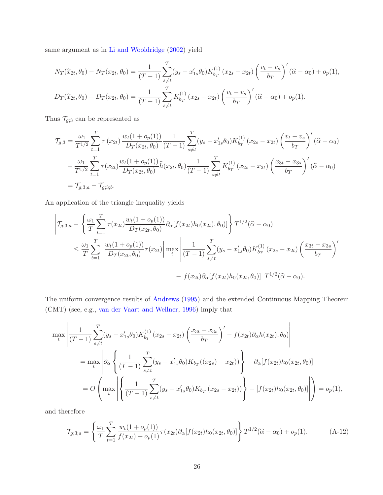same argument as in Li and Wooldridge (2002) yield

$$
N_T(\hat{x}_{2t}, \theta_0) - N_T(x_{2t}, \theta_0) = \frac{1}{(T-1)} \sum_{s \neq t}^T (y_s - x'_{1s} \theta_0) K_{b_T}^{(1)} (x_{2s} - x_{2t}) \left(\frac{v_t - v_s}{b_T}\right)' (\hat{\alpha} - \alpha_0) + o_p(1),
$$
  

$$
D_T(\hat{x}_{2t}, \theta_0) - D_T(x_{2t}, \theta_0) = \frac{1}{(T-1)} \sum_{s \neq t}^T K_{b_T}^{(1)} (x_{2s} - x_{2t}) \left(\frac{v_t - v_s}{b_T}\right)' (\hat{\alpha} - \alpha_0) + o_p(1).
$$

Thus  $\mathcal{T}_{g;3}$  can be represented as

$$
\mathcal{T}_{g;3} = \frac{\omega_1}{T^{1/2}} \sum_{t=1}^T \tau(x_{2t}) \frac{w_t(1 + o_p(1))}{D_T(x_{2t}, \theta_0)} \frac{1}{(T-1)} \sum_{s \neq t}^T (y_s - x'_{1s}\theta_0) K_{b_T}^{(1)}(x_{2s} - x_{2t}) \left(\frac{v_t - v_s}{b_T}\right)'(\widehat{\alpha} - \alpha_0)
$$

$$
- \frac{\omega_1}{T^{1/2}} \sum_{t=1}^T \tau(x_{2t}) \frac{w_t(1 + o_p(1))}{D_T(x_{2t}, \theta_0)} \widehat{h}(x_{2t}, \theta_0) \frac{1}{(T-1)} \sum_{s \neq t}^T K_{b_T}^{(1)}(x_{2s} - x_{2t}) \left(\frac{x_{3t} - x_{3s}}{b_T}\right)'(\widehat{\alpha} - \alpha_0)
$$

$$
= \mathcal{T}_{g;3,a} - \mathcal{T}_{g;3,b}.
$$

An application of the triangle inequality yields

$$
\left| \mathcal{T}_{g;3;a} - \left\{ \frac{\omega_1}{T} \sum_{t=1}^T \tau(x_{2t}) \frac{w_t(1 + o_p(1))}{D_T(x_{2t}, \theta_0)} \partial_\alpha[f(x_{2t}) h_0(x_{2t}), \theta_0)] \right\} T^{1/2}(\hat{\alpha} - \alpha_0) \right|
$$
  

$$
\leq \frac{\omega_1}{T} \sum_{t=1}^T \left| \frac{w_t(1 + o_p(1))}{D_T(x_{2t}, \theta_0)} \tau(x_{2t}) \right| \max_t \left| \frac{1}{(T-1)} \sum_{s \neq t}^T (y_s - x'_{1s} \theta_0) K_{b_T}^{(1)} (x_{2s} - x_{2t}) \left( \frac{x_{3t} - x_{3s}}{b_T} \right)' \right|
$$
  

$$
- f(x_{2t}) \partial_\alpha[f(x_{2t}) h_0(x_{2t}, \theta_0)] \left| T^{1/2}(\hat{\alpha} - \alpha_0) \right|.
$$

The uniform convergence results of Andrews (1995) and the extended Continuous Mapping Theorem (CMT) (see, e.g., van der Vaart and Wellner, 1996) imply that

$$
\max_{t} \left| \frac{1}{(T-1)} \sum_{s \neq t}^{T} (y_s - x'_{1s} \theta_0) K_{b_T}^{(1)} (x_{2s} - x_{2t}) \left( \frac{x_{3t} - x_{3s}}{b_T} \right)' - f(x_{2t}) \partial_{\alpha} h(x_{2t}), \theta_0 \right|
$$
  
\n
$$
= \max_{t} \left| \partial_{\alpha} \left\{ \frac{1}{(T-1)} \sum_{s \neq t}^{T} (y_s - x'_{1s} \theta_0) K_{b_T} ((x_{2s}) - x_{2t}) \right\} - \partial_{\alpha} [f(x_{2t}) h_0 (x_{2t}, \theta_0)] \right|
$$
  
\n
$$
= O \left( \max_{t} \left| \left\{ \frac{1}{(T-1)} \sum_{s \neq t}^{T} (y_s - x'_{1s} \theta_0) K_{b_T} (x_{2s} - x_{2t}) \right\} \right\rangle - [f(x_{2t}) h_0 (x_{2t}, \theta_0)] \right| \right) = o_p(1),
$$

and therefore

$$
\mathcal{T}_{g;3;a} = \left\{ \frac{\omega_1}{T} \sum_{t=1}^T \frac{w_t(1 + o_p(1))}{f(x_{2t}) + o_p(1)} \tau(x_{2t}) \partial_\alpha[f(x_{2t})h_0(x_{2t}, \theta_0)] \right\} T^{1/2}(\hat{\alpha} - \alpha_0) + o_p(1).
$$
 (A-12)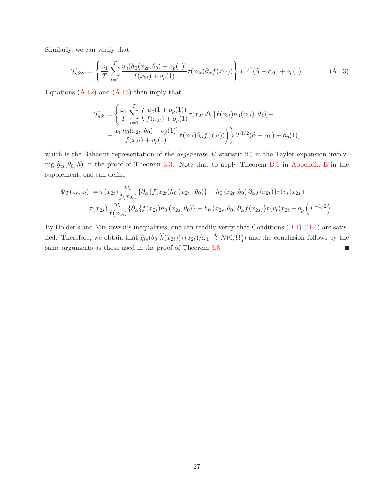Similarly, we can verify that

$$
\mathcal{T}_{g;3;b} = \left\{ \frac{\omega_1}{T} \sum_{t=1}^T \frac{w_t[h_0(x_{2t}, \theta_0) + o_p(1)]}{f(x_{2t}) + o_p(1)} \tau(x_{2t}) \partial_\alpha f(x_{2t}) \right\} T^{1/2}(\hat{\alpha} - \alpha_0) + o_p(1).
$$
\n(A-13)

Equations  $(A-12)$  and  $(A-13)$  then imply that

$$
\mathcal{T}_{g;3} = \left\{ \frac{\omega_1}{T} \sum_{t=1}^T \left( \frac{w_t (1 + o_p(1))}{f(x_{2t}) + o_p(1)} \tau(x_{2t}) \partial_\alpha [f(x_{2t}) h_0(x_{2t}), \theta_0] - \frac{w_t [h_0(x_{2t}, \theta_0) + o_p(1)]}{f(x_{2t}) + o_p(1)} \tau(x_{2t}) \partial_\alpha f(x_{2t}) \right) \right\} T^{1/2}(\hat{\alpha} - \alpha_0) + o_p(1),
$$

which is the Bahadur representation of the *degenerate* U-statistic  $\mathfrak{T}_{5}^{*}$  in the Taylor expansion involving  $\hat{g}_{ts}(\theta_0, h)$  in the proof of Theorem 3.3. Note that to apply Theorem B.1 in Appendix B in the supplement, one can define

$$
\Psi_T(z_s, z_t) := \tau(x_{2t}) \frac{w_t}{f(x_{2t})} \{ \partial_\alpha \{ f(x_{2t}) h_0(x_{2t}), \theta_0 \} - h_0(x_{2t}, \theta_0) \partial_\alpha f(x_{2t}) \} r(v_s) x_{2s} +
$$
  

$$
\tau(x_{2s}) \frac{w_s}{f(x_{2s})} \{ \partial_\alpha \{ f(x_{2s}) h_0(x_{2s}, \theta_0) \} - h_0(x_{2s}, \theta_0) \partial_\alpha f(x_{2s}) \} r(v_t) x_{2t} + o_p \left( T^{-1/2} \right).
$$

By Hölder's and Minkowski's inequalities, one can readily verify that Conditions  $(B-1)-(B-4)$  are satisfied. Therefore, we obtain that  $\hat{g}_{ts}(\theta_0, \hat{h}(\hat{x}_{2t}))\tau(x_{2t})/\omega_1 \stackrel{d}{\to} N(0, \Omega_d^e)$  and the conclusion follows by the same arguments as those used in the proof of Theorem 3.3.  $\Box$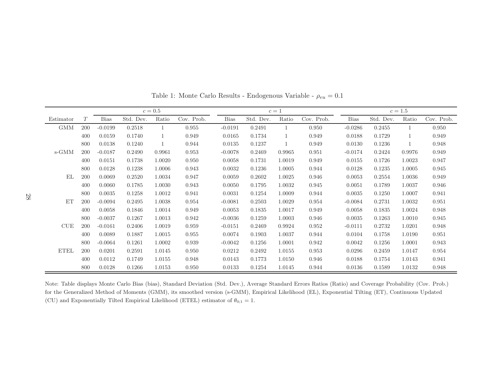|                | $c=0.5$ |             |           |        |            | $c=1$       |           |        |            | $c=1.5$     |           |        |            |
|----------------|---------|-------------|-----------|--------|------------|-------------|-----------|--------|------------|-------------|-----------|--------|------------|
| Estimator      | T       | <b>Bias</b> | Std. Dev. | Ratio  | Cov. Prob. | <b>Bias</b> | Std. Dev. | Ratio  | Cov. Prob. | <b>Bias</b> | Std. Dev. | Ratio  | Cov. Prob. |
| <b>GMM</b>     | 200     | $-0.0199$   | 0.2518    |        | 0.955      | $-0.0191$   | 0.2491    |        | 0.950      | $-0.0286$   | 0.2455    |        | 0.950      |
|                | 400     | 0.0159      | 0.1740    | 1      | 0.949      | 0.0165      | 0.1734    |        | 0.949      | 0.0188      | 0.1729    | 1      | 0.949      |
|                | 800     | 0.0138      | 0.1240    | 1      | 0.944      | 0.0135      | 0.1237    |        | 0.949      | 0.0130      | 0.1236    | 1      | 0.948      |
| s-GMM          | 200     | $-0.0187$   | 0.2490    | 0.9961 | 0.953      | $-0.0078$   | 0.2469    | 0.9965 | 0.951      | $-0.0174$   | 0.2424    | 0.9976 | 0.949      |
|                | 400     | 0.0151      | 0.1738    | 1.0020 | 0.950      | 0.0058      | 0.1731    | 1.0019 | 0.949      | 0.0155      | 0.1726    | 1.0023 | 0.947      |
|                | 800     | 0.0128      | 0.1238    | 1.0006 | 0.943      | 0.0032      | 0.1236    | 1.0005 | 0.944      | 0.0128      | 0.1235    | 1.0005 | 0.945      |
| E <sub>L</sub> | 200     | 0.0069      | 0.2520    | 1.0034 | 0.947      | 0.0059      | 0.2602    | 1.0025 | 0.946      | 0.0053      | 0.2554    | 1.0036 | 0.949      |
|                | 400     | 0.0060      | 0.1785    | 1.0030 | 0.943      | 0.0050      | 0.1795    | 1.0032 | 0.945      | 0.0051      | 0.1789    | 1.0037 | 0.946      |
|                | 800     | 0.0035      | 0.1258    | 1.0012 | 0.941      | 0.0031      | 0.1254    | 1.0009 | 0.944      | 0.0035      | 0.1250    | 1.0007 | 0.941      |
| <b>ET</b>      | 200     | $-0.0094$   | 0.2495    | 1.0038 | 0.954      | $-0.0081$   | 0.2503    | 1.0029 | 0.954      | $-0.0084$   | 0.2731    | 1.0032 | 0.951      |
|                | 400     | 0.0058      | 0.1846    | 1.0014 | 0.949      | 0.0053      | 0.1835    | 1.0017 | 0.949      | 0.0058      | 0.1835    | 1.0024 | 0.948      |
|                | 800     | $-0.0037$   | 0.1267    | 1.0013 | 0.942      | $-0.0036$   | 0.1259    | 1.0003 | 0.946      | 0.0035      | 0.1263    | 1.0010 | 0.945      |
| <b>CUE</b>     | 200     | $-0.0161$   | 0.2406    | 1.0019 | 0.959      | $-0.0151$   | 0.2469    | 0.9924 | 0.952      | $-0.0111$   | 0.2732    | 1.0201 | 0.948      |
|                | 400     | 0.0089      | 0.1887    | 1.0015 | 0.955      | 0.0074      | 0.1903    | 1.0037 | 0.944      | 0.0104      | 0.1758    | 1.0190 | 0.951      |
|                | 800     | $-0.0064$   | 0.1261    | 1.0002 | 0.939      | $-0.0042$   | 0.1256    | 1.0001 | 0.942      | 0.0042      | 0.1256    | 1.0001 | 0.943      |
| <b>ETEL</b>    | 200     | 0.0201      | 0.2591    | 1.0145 | 0.950      | 0.0212      | 0.2492    | 1.0155 | 0.953      | 0.0296      | 0.2459    | 1.0147 | 0.954      |
|                | 400     | 0.0112      | 0.1749    | 1.0155 | 0.948      | 0.0143      | 0.1773    | 1.0150 | 0.946      | 0.0188      | 0.1754    | 1.0143 | 0.941      |
|                | 800     | 0.0128      | 0.1266    | 1.0153 | 0.950      | 0.0133      | 0.1254    | 1.0145 | 0.944      | 0.0136      | 0.1589    | 1.0132 | 0.948      |

Table 1: Monte Carlo Results - Endogenous Variable -  $\rho_{eu}=0.1$ 

Note: Table displays Monte Carlo Bias (bias), Standard Deviation (Std. Dev.), Average Standard Errors Ratios (Ratio) and Coverage Probability (Cov. Prob.) for the Generalized Method of Moments (GMM), its smoothed version (s-GMM), Empirical Likelihood (EL), Exponential Tilting (ET), Continuous Updated (CU) and Exponentially Tilted Empirical Likelihood (ETEL) estimator of  $\theta_{0;1} = 1$ .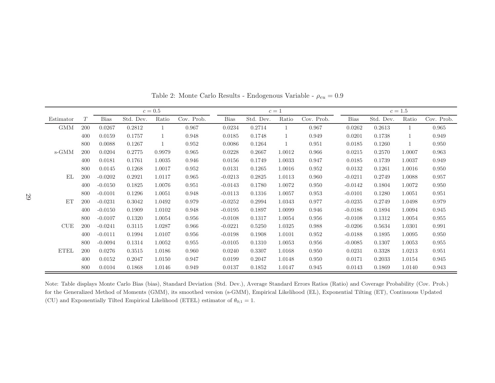|             | $c=0.5$ |             |           |        |            | $c=1$     |           |        |            | $c=1.5$     |           |        |            |
|-------------|---------|-------------|-----------|--------|------------|-----------|-----------|--------|------------|-------------|-----------|--------|------------|
| Estimator   | T       | <b>Bias</b> | Std. Dev. | Ratio  | Cov. Prob. | Bias      | Std. Dev. | Ratio  | Cov. Prob. | <b>Bias</b> | Std. Dev. | Ratio  | Cov. Prob. |
| <b>GMM</b>  | 200     | 0.0267      | 0.2812    |        | 0.967      | 0.0234    | 0.2714    |        | 0.967      | 0.0262      | 0.2613    |        | 0.965      |
|             | 400     | 0.0159      | 0.1757    |        | 0.948      | 0.0185    | 0.1748    |        | 0.949      | 0.0201      | 0.1738    |        | 0.949      |
|             | 800     | 0.0088      | 0.1267    |        | 0.952      | 0.0086    | 0.1264    |        | 0.951      | 0.0185      | 0.1260    |        | 0.950      |
| s-GMM       | 200     | 0.0204      | 0.2775    | 0.9979 | 0.965      | 0.0228    | 0.2667    | 1.0012 | 0.966      | 0.0215      | 0.2570    | 1.0007 | 0.963      |
|             | 400     | 0.0181      | 0.1761    | 1.0035 | 0.946      | 0.0156    | 0.1749    | 1.0033 | 0.947      | 0.0185      | 0.1739    | 1.0037 | 0.949      |
|             | 800     | 0.0145      | 0.1268    | 1.0017 | 0.952      | 0.0131    | 0.1265    | 1.0016 | 0.952      | 0.0132      | 0.1261    | 1.0016 | 0.950      |
| EL          | 200     | $-0.0202$   | 0.2921    | 1.0117 | 0.965      | $-0.0213$ | 0.2825    | 1.0113 | 0.960      | $-0.0211$   | 0.2749    | 1.0088 | 0.957      |
|             | 400     | $-0.0150$   | 0.1825    | 1.0076 | 0.951      | $-0.0143$ | 0.1780    | 1.0072 | 0.950      | $-0.0142$   | 0.1804    | 1.0072 | 0.950      |
|             | 800     | $-0.0101$   | 0.1296    | 1.0051 | 0.948      | $-0.0113$ | 0.1316    | 1.0057 | 0.953      | $-0.0101$   | 0.1280    | 1.0051 | 0.951      |
| ET          | 200     | $-0.0231$   | 0.3042    | 1.0492 | 0.979      | $-0.0252$ | 0.2994    | 1.0343 | 0.977      | $-0.0235$   | 0.2749    | 1.0498 | 0.979      |
|             | 400     | $-0.0150$   | 0.1909    | 1.0102 | 0.948      | $-0.0195$ | 0.1897    | 1.0099 | 0.946      | $-0.0186$   | 0.1894    | 1.0094 | 0.945      |
|             | 800     | $-0.0107$   | 0.1320    | 1.0054 | 0.956      | $-0.0108$ | 0.1317    | 1.0054 | 0.956      | $-0.0108$   | 0.1312    | 1.0054 | 0.955      |
| <b>CUE</b>  | 200     | $-0.0241$   | 0.3115    | 1.0287 | 0.966      | $-0.0221$ | 0.5250    | 1.0325 | 0.988      | $-0.0206$   | 0.5634    | 1.0301 | 0.991      |
|             | 400     | $-0.0111$   | 0.1994    | 1.0107 | 0.956      | $-0.0198$ | 0.1908    | 1.0101 | 0.952      | $-0.0188$   | 0.1895    | 1.0095 | 0.950      |
|             | 800     | $-0.0094$   | 0.1314    | 1.0052 | 0.955      | $-0.0105$ | 0.1310    | 1.0053 | 0.956      | $-0.0085$   | 0.1307    | 1.0053 | 0.955      |
| <b>ETEL</b> | 200     | 0.0276      | 0.3515    | 1.0186 | 0.960      | 0.0240    | 0.3307    | 1.0168 | 0.950      | 0.0231      | 0.3328    | 1.0213 | 0.951      |
|             | 400     | 0.0152      | 0.2047    | 1.0150 | 0.947      | 0.0199    | 0.2047    | 1.0148 | 0.950      | 0.0171      | 0.2033    | 1.0154 | 0.945      |
|             | 800     | 0.0104      | 0.1868    | 1.0146 | 0.949      | 0.0137    | 0.1852    | 1.0147 | 0.945      | 0.0143      | 0.1869    | 1.0140 | 0.943      |

Table 2: Monte Carlo Results - Endogenous Variable -  $\rho_{eu}=0.9$ 

Note: Table displays Monte Carlo Bias (bias), Standard Deviation (Std. Dev.), Average Standard Errors Ratios (Ratio) and Coverage Probability (Cov. Prob.) for the Generalized Method of Moments (GMM), its smoothed version (s-GMM), Empirical Likelihood (EL), Exponential Tilting (ET), Continuous Updated (CU) and Exponentially Tilted Empirical Likelihood (ETEL) estimator of  $\theta_{0;1} = 1$ .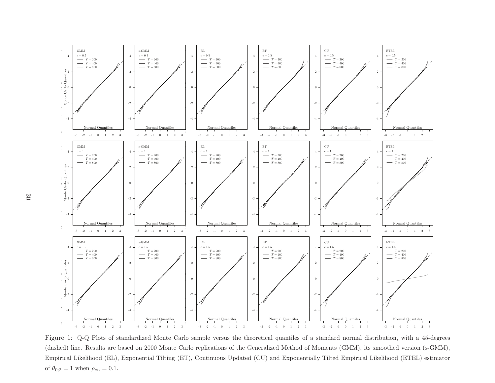

Figure 1: Q-Q Plots of standardized Monte Carlo sample versus the theoretical quantiles of a standard normal distribution, with a 45-degrees (dashed) line. Results are based on 2000 Monte Carlo replications of the Generalized Method of Moments (GMM), its smoothed version (s-GMM), Empirical Likelihood (EL), Exponential Tilting (ET), Continuous Updated (CU) and Exponentially Tilted Empirical Likelihood (ETEL) estimator of  $\theta_{0;2} = 1$  when  $\rho_{eu} = 0.1$ .